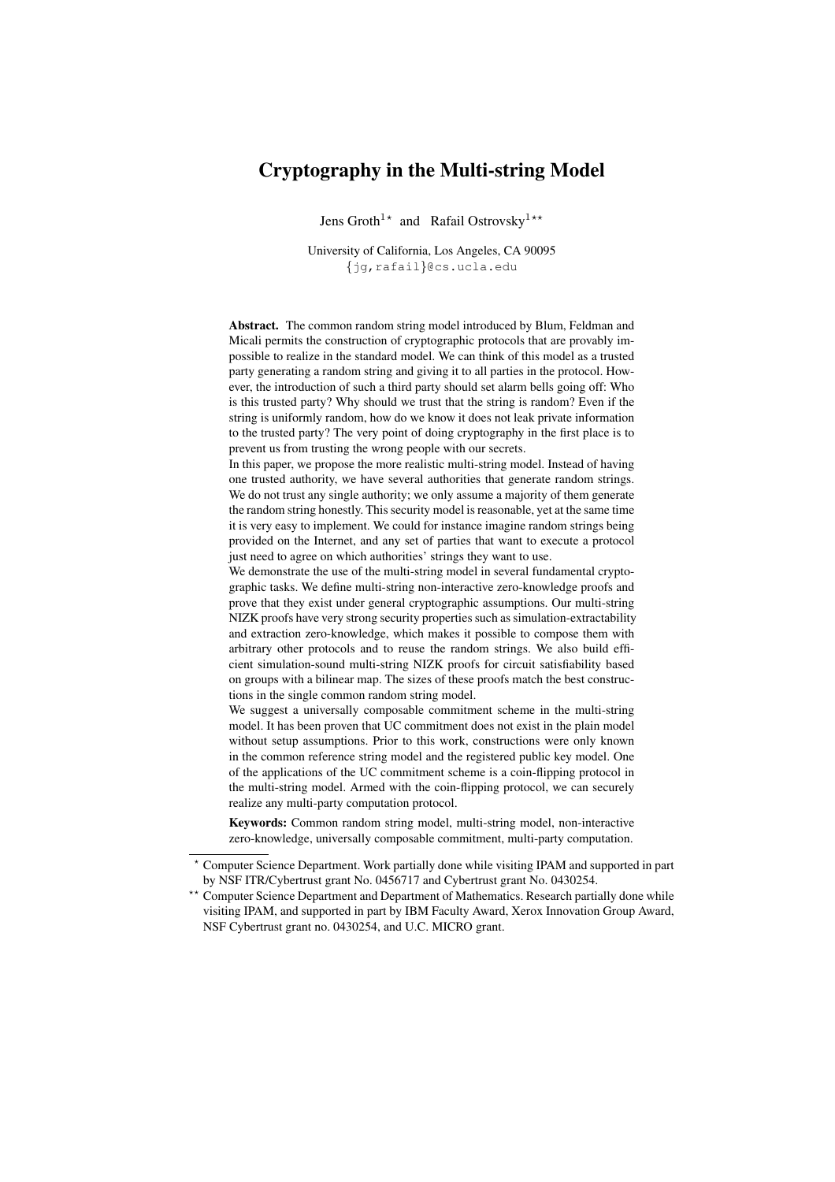# Cryptography in the Multi-string Model

Jens Groth<sup>1\*</sup> and Rafail Ostrovsky<sup>1\*\*</sup>

University of California, Los Angeles, CA 90095 {jg,rafail}@cs.ucla.edu

Abstract. The common random string model introduced by Blum, Feldman and Micali permits the construction of cryptographic protocols that are provably impossible to realize in the standard model. We can think of this model as a trusted party generating a random string and giving it to all parties in the protocol. However, the introduction of such a third party should set alarm bells going off: Who is this trusted party? Why should we trust that the string is random? Even if the string is uniformly random, how do we know it does not leak private information to the trusted party? The very point of doing cryptography in the first place is to prevent us from trusting the wrong people with our secrets.

In this paper, we propose the more realistic multi-string model. Instead of having one trusted authority, we have several authorities that generate random strings. We do not trust any single authority; we only assume a majority of them generate the random string honestly. This security model is reasonable, yet at the same time it is very easy to implement. We could for instance imagine random strings being provided on the Internet, and any set of parties that want to execute a protocol just need to agree on which authorities' strings they want to use.

We demonstrate the use of the multi-string model in several fundamental cryptographic tasks. We define multi-string non-interactive zero-knowledge proofs and prove that they exist under general cryptographic assumptions. Our multi-string NIZK proofs have very strong security properties such as simulation-extractability and extraction zero-knowledge, which makes it possible to compose them with arbitrary other protocols and to reuse the random strings. We also build efficient simulation-sound multi-string NIZK proofs for circuit satisfiability based on groups with a bilinear map. The sizes of these proofs match the best constructions in the single common random string model.

We suggest a universally composable commitment scheme in the multi-string model. It has been proven that UC commitment does not exist in the plain model without setup assumptions. Prior to this work, constructions were only known in the common reference string model and the registered public key model. One of the applications of the UC commitment scheme is a coin-flipping protocol in the multi-string model. Armed with the coin-flipping protocol, we can securely realize any multi-party computation protocol.

Keywords: Common random string model, multi-string model, non-interactive zero-knowledge, universally composable commitment, multi-party computation.

<sup>?</sup> Computer Science Department. Work partially done while visiting IPAM and supported in part by NSF ITR/Cybertrust grant No. 0456717 and Cybertrust grant No. 0430254.

<sup>\*\*</sup> Computer Science Department and Department of Mathematics. Research partially done while visiting IPAM, and supported in part by IBM Faculty Award, Xerox Innovation Group Award, NSF Cybertrust grant no. 0430254, and U.C. MICRO grant.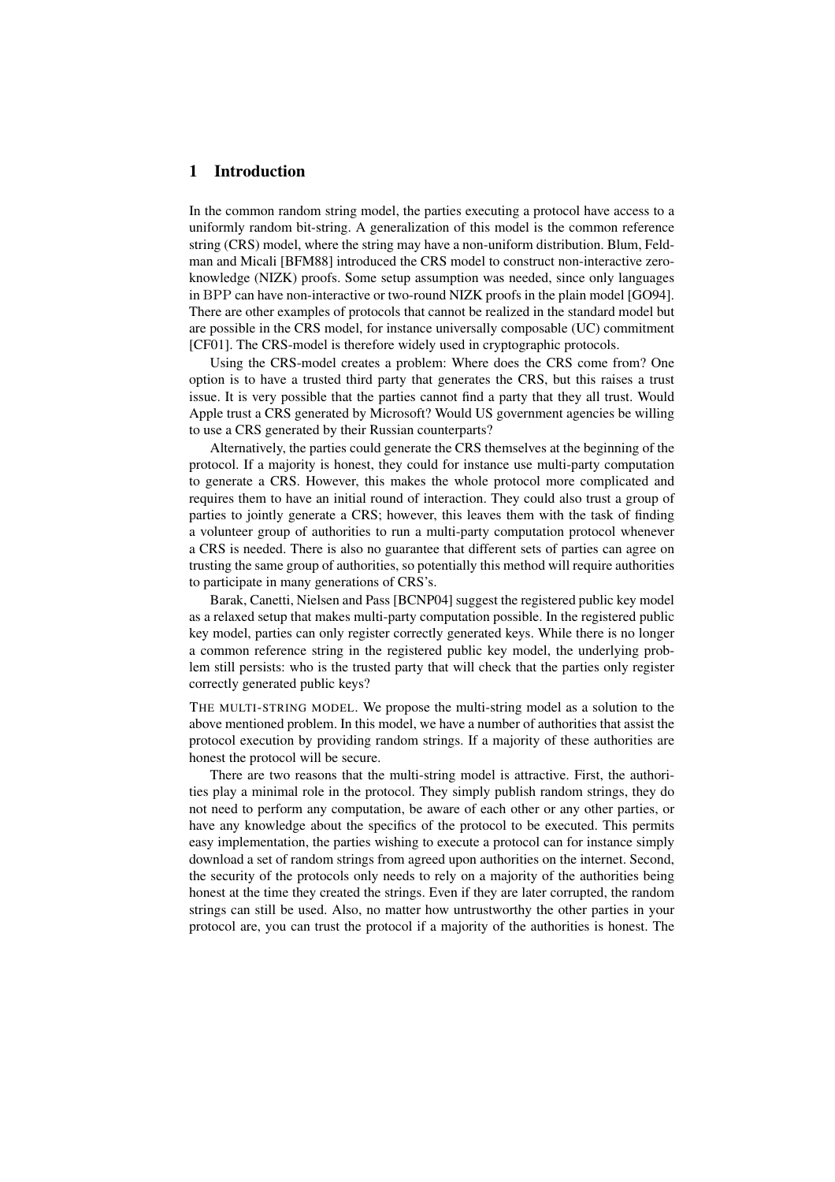## 1 Introduction

In the common random string model, the parties executing a protocol have access to a uniformly random bit-string. A generalization of this model is the common reference string (CRS) model, where the string may have a non-uniform distribution. Blum, Feldman and Micali [BFM88] introduced the CRS model to construct non-interactive zeroknowledge (NIZK) proofs. Some setup assumption was needed, since only languages in BPP can have non-interactive or two-round NIZK proofs in the plain model [GO94]. There are other examples of protocols that cannot be realized in the standard model but are possible in the CRS model, for instance universally composable (UC) commitment [CF01]. The CRS-model is therefore widely used in cryptographic protocols.

Using the CRS-model creates a problem: Where does the CRS come from? One option is to have a trusted third party that generates the CRS, but this raises a trust issue. It is very possible that the parties cannot find a party that they all trust. Would Apple trust a CRS generated by Microsoft? Would US government agencies be willing to use a CRS generated by their Russian counterparts?

Alternatively, the parties could generate the CRS themselves at the beginning of the protocol. If a majority is honest, they could for instance use multi-party computation to generate a CRS. However, this makes the whole protocol more complicated and requires them to have an initial round of interaction. They could also trust a group of parties to jointly generate a CRS; however, this leaves them with the task of finding a volunteer group of authorities to run a multi-party computation protocol whenever a CRS is needed. There is also no guarantee that different sets of parties can agree on trusting the same group of authorities, so potentially this method will require authorities to participate in many generations of CRS's.

Barak, Canetti, Nielsen and Pass [BCNP04] suggest the registered public key model as a relaxed setup that makes multi-party computation possible. In the registered public key model, parties can only register correctly generated keys. While there is no longer a common reference string in the registered public key model, the underlying problem still persists: who is the trusted party that will check that the parties only register correctly generated public keys?

THE MULTI-STRING MODEL. We propose the multi-string model as a solution to the above mentioned problem. In this model, we have a number of authorities that assist the protocol execution by providing random strings. If a majority of these authorities are honest the protocol will be secure.

There are two reasons that the multi-string model is attractive. First, the authorities play a minimal role in the protocol. They simply publish random strings, they do not need to perform any computation, be aware of each other or any other parties, or have any knowledge about the specifics of the protocol to be executed. This permits easy implementation, the parties wishing to execute a protocol can for instance simply download a set of random strings from agreed upon authorities on the internet. Second, the security of the protocols only needs to rely on a majority of the authorities being honest at the time they created the strings. Even if they are later corrupted, the random strings can still be used. Also, no matter how untrustworthy the other parties in your protocol are, you can trust the protocol if a majority of the authorities is honest. The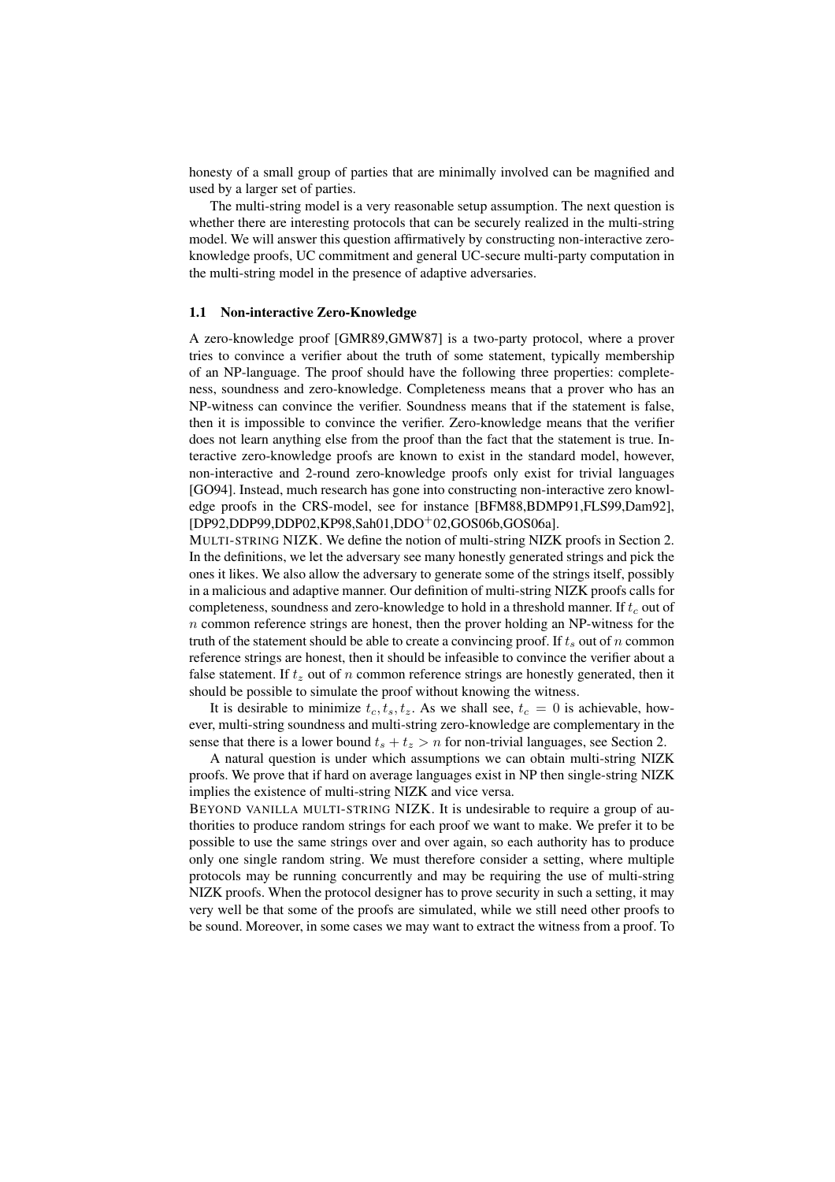honesty of a small group of parties that are minimally involved can be magnified and used by a larger set of parties.

The multi-string model is a very reasonable setup assumption. The next question is whether there are interesting protocols that can be securely realized in the multi-string model. We will answer this question affirmatively by constructing non-interactive zeroknowledge proofs, UC commitment and general UC-secure multi-party computation in the multi-string model in the presence of adaptive adversaries.

#### 1.1 Non-interactive Zero-Knowledge

A zero-knowledge proof [GMR89,GMW87] is a two-party protocol, where a prover tries to convince a verifier about the truth of some statement, typically membership of an NP-language. The proof should have the following three properties: completeness, soundness and zero-knowledge. Completeness means that a prover who has an NP-witness can convince the verifier. Soundness means that if the statement is false, then it is impossible to convince the verifier. Zero-knowledge means that the verifier does not learn anything else from the proof than the fact that the statement is true. Interactive zero-knowledge proofs are known to exist in the standard model, however, non-interactive and 2-round zero-knowledge proofs only exist for trivial languages [GO94]. Instead, much research has gone into constructing non-interactive zero knowledge proofs in the CRS-model, see for instance [BFM88,BDMP91,FLS99,Dam92], [DP92,DDP99,DDP02,KP98,Sah01,DDO<sup>+</sup>02,GOS06b,GOS06a].

MULTI-STRING NIZK. We define the notion of multi-string NIZK proofs in Section 2. In the definitions, we let the adversary see many honestly generated strings and pick the ones it likes. We also allow the adversary to generate some of the strings itself, possibly in a malicious and adaptive manner. Our definition of multi-string NIZK proofs calls for completeness, soundness and zero-knowledge to hold in a threshold manner. If  $t_c$  out of  $n$  common reference strings are honest, then the prover holding an NP-witness for the truth of the statement should be able to create a convincing proof. If  $t_s$  out of n common reference strings are honest, then it should be infeasible to convince the verifier about a false statement. If  $t<sub>z</sub>$  out of n common reference strings are honestly generated, then it should be possible to simulate the proof without knowing the witness.

It is desirable to minimize  $t_c, t_s, t_z$ . As we shall see,  $t_c = 0$  is achievable, however, multi-string soundness and multi-string zero-knowledge are complementary in the sense that there is a lower bound  $t_s + t_z > n$  for non-trivial languages, see Section 2.

A natural question is under which assumptions we can obtain multi-string NIZK proofs. We prove that if hard on average languages exist in NP then single-string NIZK implies the existence of multi-string NIZK and vice versa.

BEYOND VANILLA MULTI-STRING NIZK. It is undesirable to require a group of authorities to produce random strings for each proof we want to make. We prefer it to be possible to use the same strings over and over again, so each authority has to produce only one single random string. We must therefore consider a setting, where multiple protocols may be running concurrently and may be requiring the use of multi-string NIZK proofs. When the protocol designer has to prove security in such a setting, it may very well be that some of the proofs are simulated, while we still need other proofs to be sound. Moreover, in some cases we may want to extract the witness from a proof. To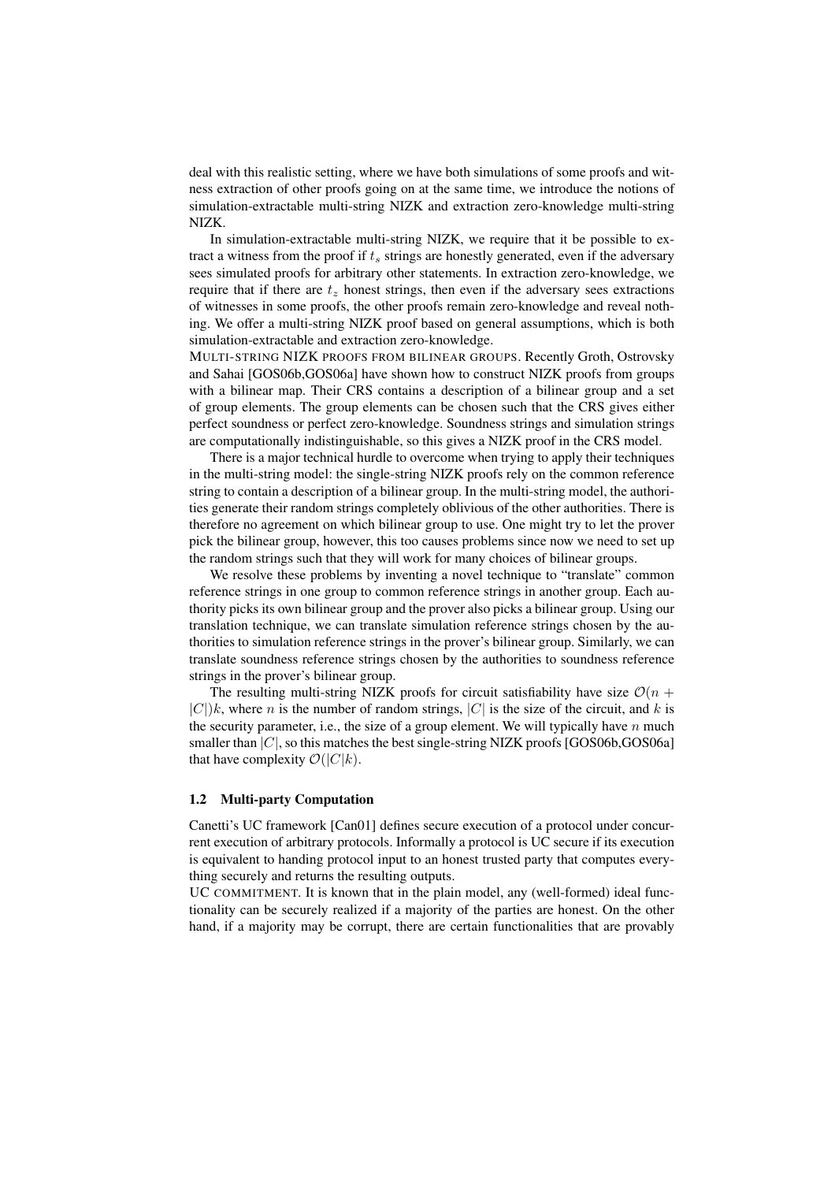deal with this realistic setting, where we have both simulations of some proofs and witness extraction of other proofs going on at the same time, we introduce the notions of simulation-extractable multi-string NIZK and extraction zero-knowledge multi-string NIZK.

In simulation-extractable multi-string NIZK, we require that it be possible to extract a witness from the proof if  $t<sub>s</sub>$  strings are honestly generated, even if the adversary sees simulated proofs for arbitrary other statements. In extraction zero-knowledge, we require that if there are  $t<sub>z</sub>$  honest strings, then even if the adversary sees extractions of witnesses in some proofs, the other proofs remain zero-knowledge and reveal nothing. We offer a multi-string NIZK proof based on general assumptions, which is both simulation-extractable and extraction zero-knowledge.

MULTI-STRING NIZK PROOFS FROM BILINEAR GROUPS. Recently Groth, Ostrovsky and Sahai [GOS06b,GOS06a] have shown how to construct NIZK proofs from groups with a bilinear map. Their CRS contains a description of a bilinear group and a set of group elements. The group elements can be chosen such that the CRS gives either perfect soundness or perfect zero-knowledge. Soundness strings and simulation strings are computationally indistinguishable, so this gives a NIZK proof in the CRS model.

There is a major technical hurdle to overcome when trying to apply their techniques in the multi-string model: the single-string NIZK proofs rely on the common reference string to contain a description of a bilinear group. In the multi-string model, the authorities generate their random strings completely oblivious of the other authorities. There is therefore no agreement on which bilinear group to use. One might try to let the prover pick the bilinear group, however, this too causes problems since now we need to set up the random strings such that they will work for many choices of bilinear groups.

We resolve these problems by inventing a novel technique to "translate" common reference strings in one group to common reference strings in another group. Each authority picks its own bilinear group and the prover also picks a bilinear group. Using our translation technique, we can translate simulation reference strings chosen by the authorities to simulation reference strings in the prover's bilinear group. Similarly, we can translate soundness reference strings chosen by the authorities to soundness reference strings in the prover's bilinear group.

The resulting multi-string NIZK proofs for circuit satisfiability have size  $\mathcal{O}(n +$  $|C|$ k, where n is the number of random strings,  $|C|$  is the size of the circuit, and k is the security parameter, i.e., the size of a group element. We will typically have  $n$  much smaller than  $|C|$ , so this matches the best single-string NIZK proofs  $[GOS06b, GOS06a]$ that have complexity  $\mathcal{O}(|C|k)$ .

#### 1.2 Multi-party Computation

Canetti's UC framework [Can01] defines secure execution of a protocol under concurrent execution of arbitrary protocols. Informally a protocol is UC secure if its execution is equivalent to handing protocol input to an honest trusted party that computes everything securely and returns the resulting outputs.

UC COMMITMENT. It is known that in the plain model, any (well-formed) ideal functionality can be securely realized if a majority of the parties are honest. On the other hand, if a majority may be corrupt, there are certain functionalities that are provably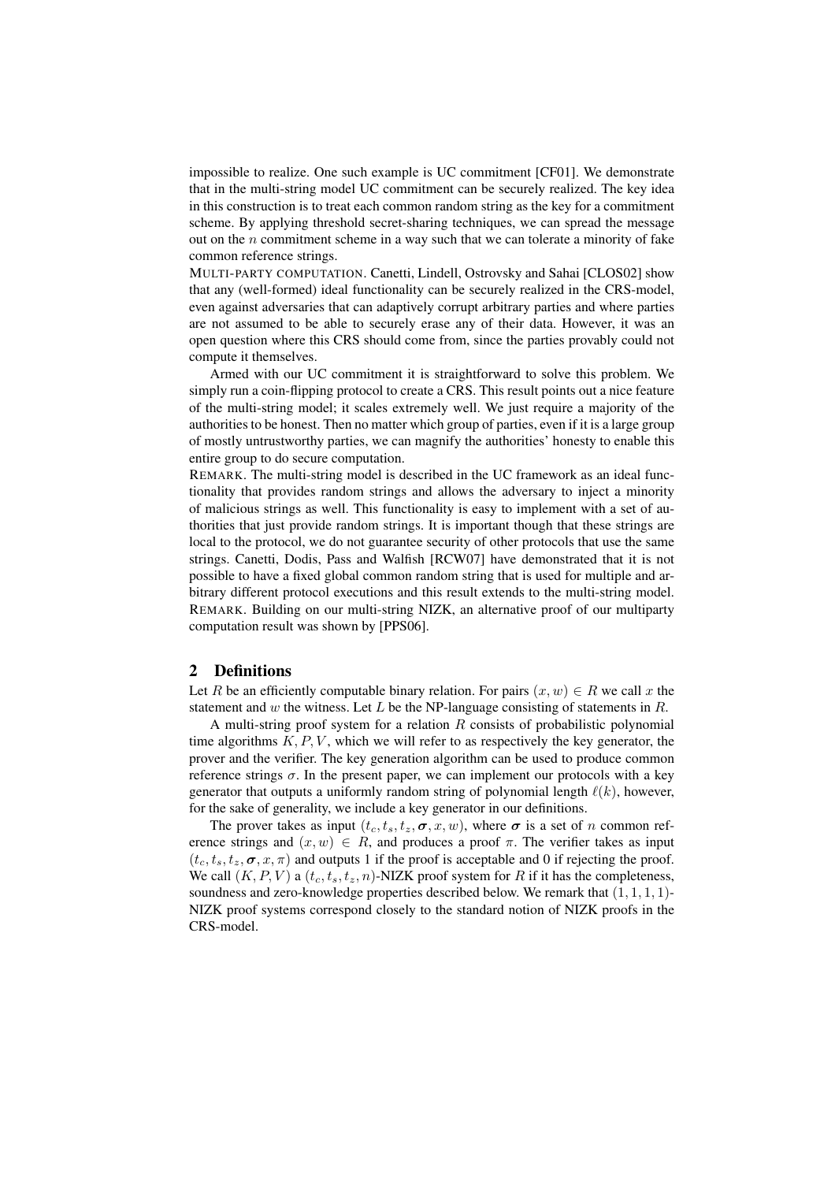impossible to realize. One such example is UC commitment [CF01]. We demonstrate that in the multi-string model UC commitment can be securely realized. The key idea in this construction is to treat each common random string as the key for a commitment scheme. By applying threshold secret-sharing techniques, we can spread the message out on the  $n$  commitment scheme in a way such that we can tolerate a minority of fake common reference strings.

MULTI-PARTY COMPUTATION. Canetti, Lindell, Ostrovsky and Sahai [CLOS02] show that any (well-formed) ideal functionality can be securely realized in the CRS-model, even against adversaries that can adaptively corrupt arbitrary parties and where parties are not assumed to be able to securely erase any of their data. However, it was an open question where this CRS should come from, since the parties provably could not compute it themselves.

Armed with our UC commitment it is straightforward to solve this problem. We simply run a coin-flipping protocol to create a CRS. This result points out a nice feature of the multi-string model; it scales extremely well. We just require a majority of the authorities to be honest. Then no matter which group of parties, even if it is a large group of mostly untrustworthy parties, we can magnify the authorities' honesty to enable this entire group to do secure computation.

REMARK. The multi-string model is described in the UC framework as an ideal functionality that provides random strings and allows the adversary to inject a minority of malicious strings as well. This functionality is easy to implement with a set of authorities that just provide random strings. It is important though that these strings are local to the protocol, we do not guarantee security of other protocols that use the same strings. Canetti, Dodis, Pass and Walfish [RCW07] have demonstrated that it is not possible to have a fixed global common random string that is used for multiple and arbitrary different protocol executions and this result extends to the multi-string model. REMARK. Building on our multi-string NIZK, an alternative proof of our multiparty computation result was shown by [PPS06].

# 2 Definitions

Let R be an efficiently computable binary relation. For pairs  $(x, w) \in R$  we call x the statement and w the witness. Let  $L$  be the NP-language consisting of statements in  $R$ .

A multi-string proof system for a relation  $R$  consists of probabilistic polynomial time algorithms  $K, P, V$ , which we will refer to as respectively the key generator, the prover and the verifier. The key generation algorithm can be used to produce common reference strings  $\sigma$ . In the present paper, we can implement our protocols with a key generator that outputs a uniformly random string of polynomial length  $\ell(k)$ , however, for the sake of generality, we include a key generator in our definitions.

The prover takes as input  $(t_c, t_s, t_z, \sigma, x, w)$ , where  $\sigma$  is a set of n common reference strings and  $(x, w) \in R$ , and produces a proof  $\pi$ . The verifier takes as input  $(t_c, t_s, t_z, \sigma, x, \pi)$  and outputs 1 if the proof is acceptable and 0 if rejecting the proof. We call  $(K, P, V)$  a  $(t_c, t_s, t_z, n)$ -NIZK proof system for R if it has the completeness, soundness and zero-knowledge properties described below. We remark that (1, 1, 1, 1)- NIZK proof systems correspond closely to the standard notion of NIZK proofs in the CRS-model.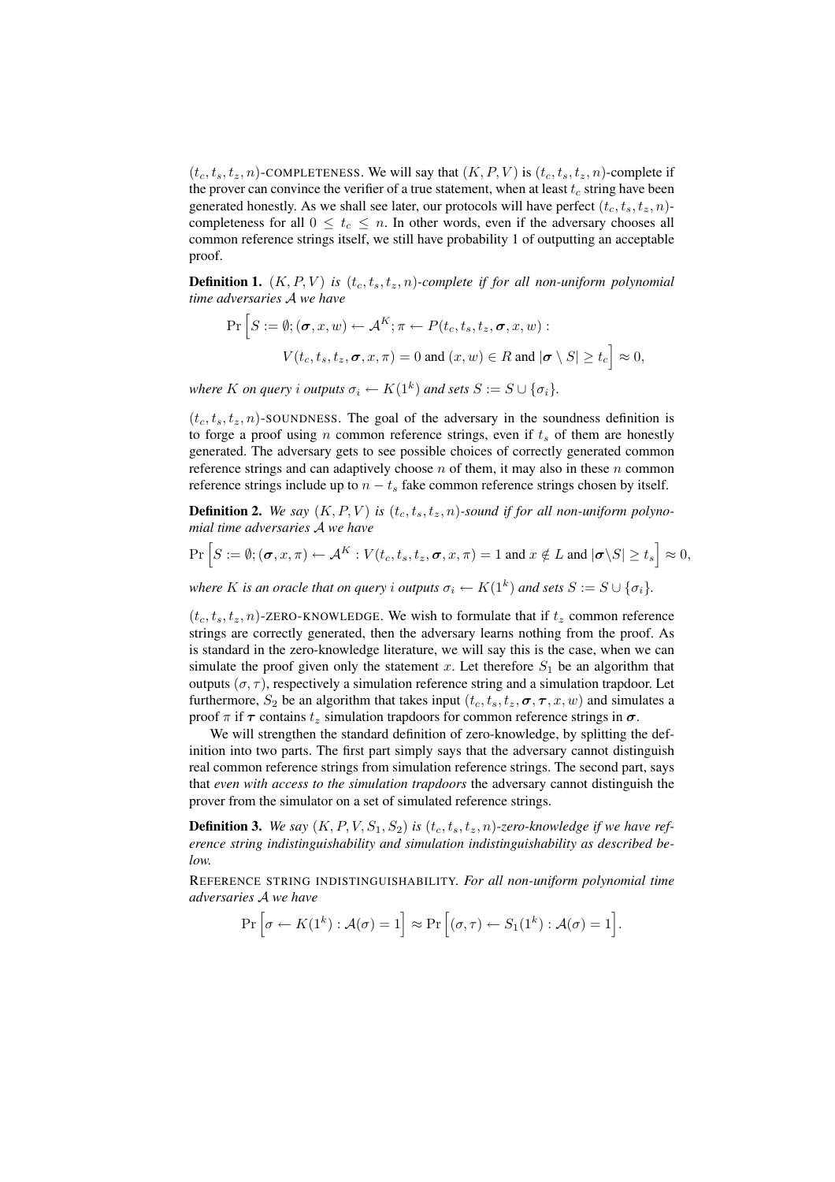$(t_c, t_s, t_z, n)$ -COMPLETENESS. We will say that  $(K, P, V)$  is  $(t_c, t_s, t_z, n)$ -complete if the prover can convince the verifier of a true statement, when at least  $t_c$  string have been generated honestly. As we shall see later, our protocols will have perfect  $(t_c, t_s, t_z, n)$ completeness for all  $0 \leq t_c \leq n$ . In other words, even if the adversary chooses all common reference strings itself, we still have probability 1 of outputting an acceptable proof.

**Definition 1.**  $(K, P, V)$  *is*  $(t_c, t_s, t_z, n)$ -complete if for all non-uniform polynomial *time adversaries* A *we have*

$$
\Pr\left[S := \emptyset; (\sigma, x, w) \leftarrow A^K; \pi \leftarrow P(t_c, t_s, t_z, \sigma, x, w) : V(t_c, t_s, t_z, \sigma, x, \pi) = 0 \text{ and } (x, w) \in R \text{ and } |\sigma \setminus S| \ge t_c \right| \approx 0,
$$

*where K on query i outputs*  $\sigma_i \leftarrow K(1^k)$  *and sets*  $S := S \cup \{\sigma_i\}$ *.* 

 $(t_c, t_s, t_z, n)$ -SOUNDNESS. The goal of the adversary in the soundness definition is to forge a proof using n common reference strings, even if  $t_s$  of them are honestly generated. The adversary gets to see possible choices of correctly generated common reference strings and can adaptively choose n of them, it may also in these n common reference strings include up to  $n - t_s$  fake common reference strings chosen by itself.

**Definition 2.** We say  $(K, P, V)$  is  $(t_c, t_s, t_z, n)$ -sound if for all non-uniform polyno*mial time adversaries* A *we have* i

$$
\Pr\left[S := \emptyset; (\boldsymbol{\sigma}, x, \pi) \leftarrow \mathcal{A}^K : V(t_c, t_s, t_z, \boldsymbol{\sigma}, x, \pi) = 1 \text{ and } x \notin L \text{ and } |\boldsymbol{\sigma} \backslash S| \ge t_s\right] \approx 0,
$$

*where* K is an oracle that on query i outputs  $\sigma_i \leftarrow K(1^k)$  and sets  $S := S \cup \{\sigma_i\}$ .

 $(t_c, t_s, t_z, n)$ -ZERO-KNOWLEDGE. We wish to formulate that if  $t_z$  common reference strings are correctly generated, then the adversary learns nothing from the proof. As is standard in the zero-knowledge literature, we will say this is the case, when we can simulate the proof given only the statement  $x$ . Let therefore  $S_1$  be an algorithm that outputs  $(\sigma, \tau)$ , respectively a simulation reference string and a simulation trapdoor. Let furthermore,  $S_2$  be an algorithm that takes input  $(t_c, t_s, t_z, \sigma, \tau, x, w)$  and simulates a proof  $\pi$  if  $\tau$  contains  $t_{\tau}$  simulation trapdoors for common reference strings in  $\sigma$ .

We will strengthen the standard definition of zero-knowledge, by splitting the definition into two parts. The first part simply says that the adversary cannot distinguish real common reference strings from simulation reference strings. The second part, says that *even with access to the simulation trapdoors* the adversary cannot distinguish the prover from the simulator on a set of simulated reference strings.

**Definition 3.** We say  $(K, P, V, S_1, S_2)$  is  $(t_c, t_s, t_z, n)$ -zero-knowledge if we have ref*erence string indistinguishability and simulation indistinguishability as described below.*

REFERENCE STRING INDISTINGUISHABILITY. *For all non-uniform polynomial time adversaries* A *we have*

$$
\Pr\Big[\sigma \leftarrow K(1^k) : \mathcal{A}(\sigma) = 1\Big] \approx \Pr\Big[(\sigma, \tau) \leftarrow S_1(1^k) : \mathcal{A}(\sigma) = 1\Big].
$$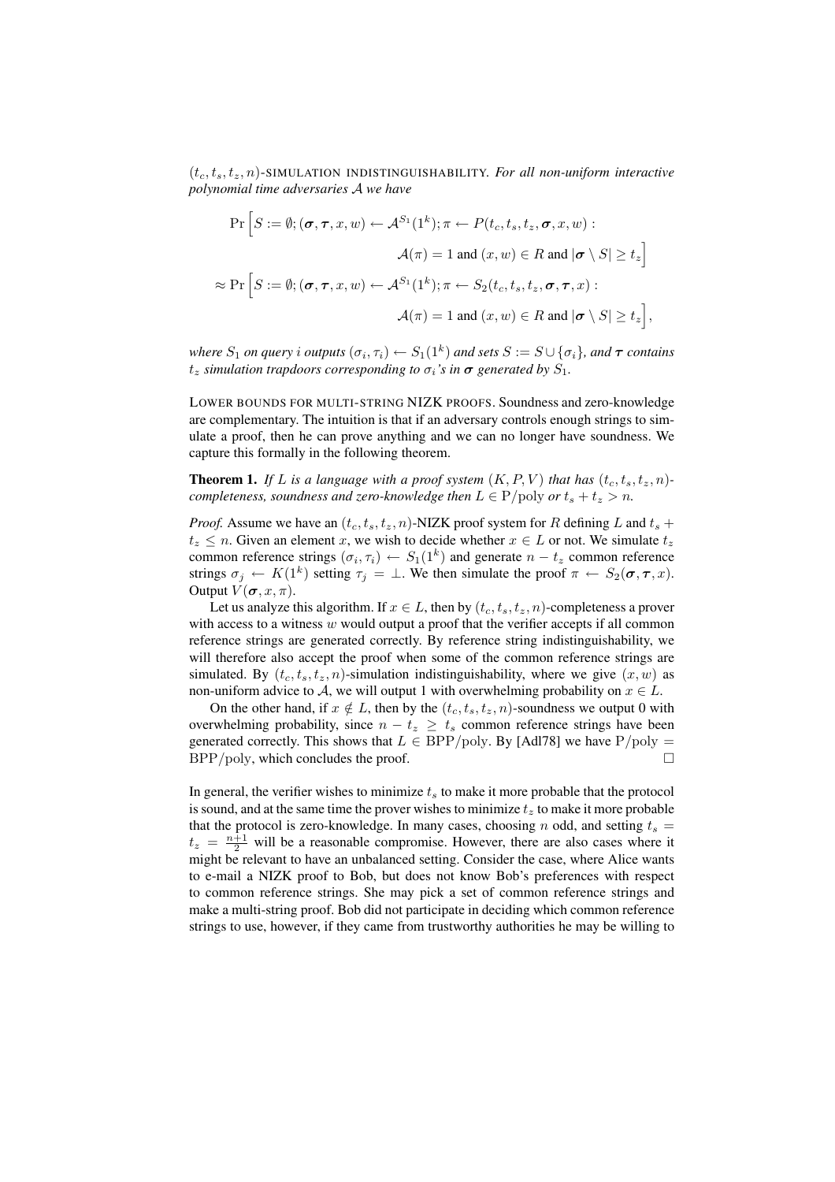$(t_c, t_s, t_z, n)$ -SIMULATION INDISTINGUISHABILITY. *For all non-uniform interactive polynomial time adversaries* A *we have*

$$
\Pr\left[S := \emptyset; (\sigma, \tau, x, w) \leftarrow \mathcal{A}^{S_1}(1^k); \pi \leftarrow P(t_c, t_s, t_z, \sigma, x, w) : \mathcal{A}(\pi) = 1 \text{ and } (x, w) \in R \text{ and } |\sigma \setminus S| \ge t_z \right] \approx \Pr\left[S := \emptyset; (\sigma, \tau, x, w) \leftarrow \mathcal{A}^{S_1}(1^k); \pi \leftarrow S_2(t_c, t_s, t_z, \sigma, \tau, x) : \mathcal{A}(\pi) = 1 \text{ and } (x, w) \in R \text{ and } |\sigma \setminus S| \ge t_z \right],
$$

 $\omega$  *where*  $S_1$  *on query i outputs*  $(\sigma_i, \tau_i) \leftarrow S_1(1^k)$  *and sets*  $S := S \cup \{\sigma_i\}$ *, and*  $\tau$  *contains*  $t_z$  *simulation trapdoors corresponding to*  $\sigma_i$ *'s in*  $\sigma$  *generated by*  $S_1$ *.* 

LOWER BOUNDS FOR MULTI-STRING NIZK PROOFS. Soundness and zero-knowledge are complementary. The intuition is that if an adversary controls enough strings to simulate a proof, then he can prove anything and we can no longer have soundness. We capture this formally in the following theorem.

**Theorem 1.** If L is a language with a proof system  $(K, P, V)$  that has  $(t_c, t_s, t_z, n)$ *completeness, soundness and zero-knowledge then*  $L \in P$ /poly *or*  $t_s + t_z > n$ .

*Proof.* Assume we have an  $(t_c, t_s, t_z, n)$ -NIZK proof system for R defining L and  $t_s$  +  $t_z \leq n$ . Given an element x, we wish to decide whether  $x \in L$  or not. We simulate  $t_z$ common reference strings  $(\sigma_i, \tau_i) \leftarrow S_1(1^k)$  and generate  $n - t_z$  common reference strings  $\sigma_j \leftarrow K(1^k)$  setting  $\tau_j = \perp$ . We then simulate the proof  $\pi \leftarrow S_2(\sigma, \tau, x)$ . Output  $V(\sigma, x, \pi)$ .

Let us analyze this algorithm. If  $x \in L$ , then by  $(t_c, t_s, t_z, n)$ -completeness a prover with access to a witness  $w$  would output a proof that the verifier accepts if all common reference strings are generated correctly. By reference string indistinguishability, we will therefore also accept the proof when some of the common reference strings are simulated. By  $(t_c, t_s, t_z, n)$ -simulation indistinguishability, where we give  $(x, w)$  as non-uniform advice to A, we will output 1 with overwhelming probability on  $x \in L$ .

On the other hand, if  $x \notin L$ , then by the  $(t_c, t_s, t_z, n)$ -soundness we output 0 with overwhelming probability, since  $n - t_z \geq t_s$  common reference strings have been generated correctly. This shows that  $L \in BPP/poly$ . By [Adl78] we have  $P/poly =$  $BPP/poly$ , which concludes the proof.  $\Box$ 

In general, the verifier wishes to minimize  $t_s$  to make it more probable that the protocol is sound, and at the same time the prover wishes to minimize  $t<sub>z</sub>$  to make it more probable that the protocol is zero-knowledge. In many cases, choosing n odd, and setting  $t_s$  =  $t_z = \frac{n+1}{2}$  will be a reasonable compromise. However, there are also cases where it might be relevant to have an unbalanced setting. Consider the case, where Alice wants to e-mail a NIZK proof to Bob, but does not know Bob's preferences with respect to common reference strings. She may pick a set of common reference strings and make a multi-string proof. Bob did not participate in deciding which common reference strings to use, however, if they came from trustworthy authorities he may be willing to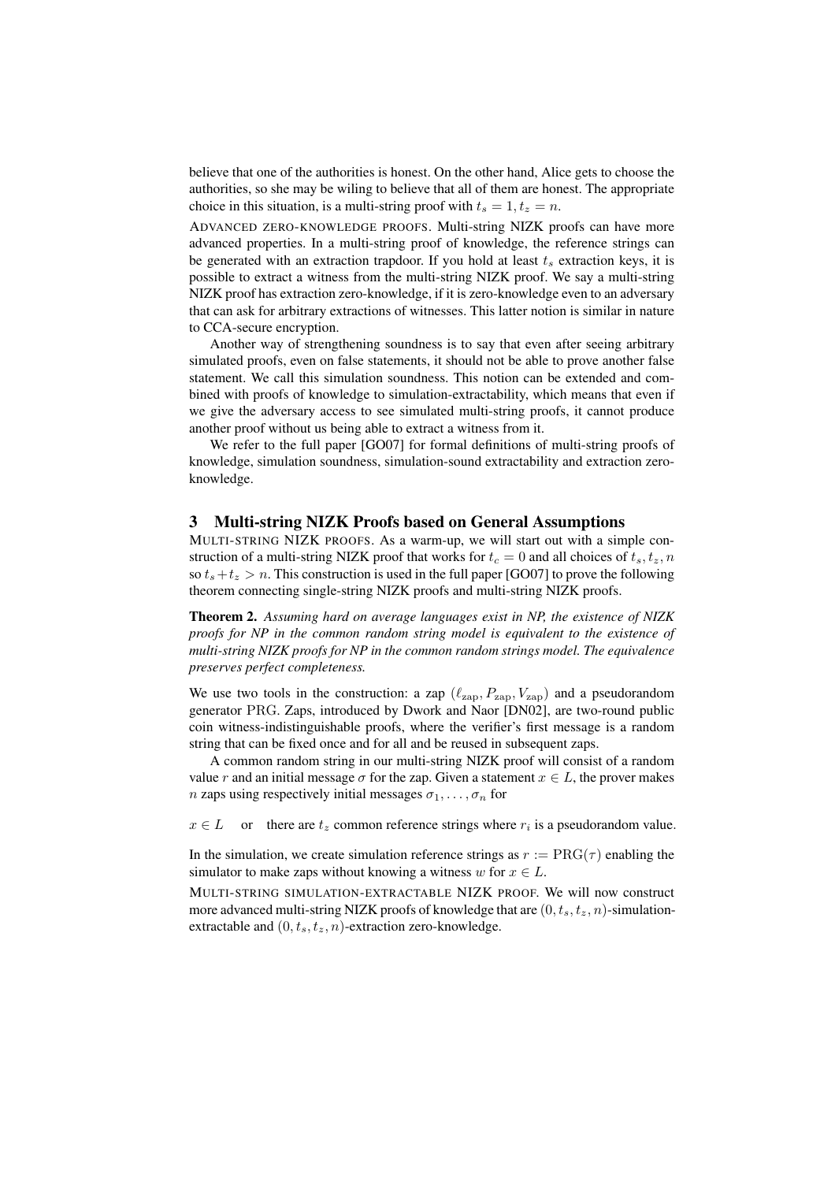believe that one of the authorities is honest. On the other hand, Alice gets to choose the authorities, so she may be wiling to believe that all of them are honest. The appropriate choice in this situation, is a multi-string proof with  $t_s = 1, t_z = n$ .

ADVANCED ZERO-KNOWLEDGE PROOFS. Multi-string NIZK proofs can have more advanced properties. In a multi-string proof of knowledge, the reference strings can be generated with an extraction trapdoor. If you hold at least  $t_s$  extraction keys, it is possible to extract a witness from the multi-string NIZK proof. We say a multi-string NIZK proof has extraction zero-knowledge, if it is zero-knowledge even to an adversary that can ask for arbitrary extractions of witnesses. This latter notion is similar in nature to CCA-secure encryption.

Another way of strengthening soundness is to say that even after seeing arbitrary simulated proofs, even on false statements, it should not be able to prove another false statement. We call this simulation soundness. This notion can be extended and combined with proofs of knowledge to simulation-extractability, which means that even if we give the adversary access to see simulated multi-string proofs, it cannot produce another proof without us being able to extract a witness from it.

We refer to the full paper [GO07] for formal definitions of multi-string proofs of knowledge, simulation soundness, simulation-sound extractability and extraction zeroknowledge.

### 3 Multi-string NIZK Proofs based on General Assumptions

MULTI-STRING NIZK PROOFS. As a warm-up, we will start out with a simple construction of a multi-string NIZK proof that works for  $t_c = 0$  and all choices of  $t_s, t_z, n$ so  $t_s + t_z > n$ . This construction is used in the full paper [GO07] to prove the following theorem connecting single-string NIZK proofs and multi-string NIZK proofs.

Theorem 2. *Assuming hard on average languages exist in NP, the existence of NIZK proofs for NP in the common random string model is equivalent to the existence of multi-string NIZK proofs for NP in the common random strings model. The equivalence preserves perfect completeness.*

We use two tools in the construction: a zap  $(\ell_{\text{zap}}, P_{\text{zap}}, V_{\text{zap}})$  and a pseudorandom generator PRG. Zaps, introduced by Dwork and Naor [DN02], are two-round public coin witness-indistinguishable proofs, where the verifier's first message is a random string that can be fixed once and for all and be reused in subsequent zaps.

A common random string in our multi-string NIZK proof will consist of a random value r and an initial message  $\sigma$  for the zap. Given a statement  $x \in L$ , the prover makes *n* zaps using respectively initial messages  $\sigma_1, \ldots, \sigma_n$  for

 $x \in L$  or there are  $t_z$  common reference strings where  $r_i$  is a pseudorandom value.

In the simulation, we create simulation reference strings as  $r := PRG(\tau)$  enabling the simulator to make zaps without knowing a witness w for  $x \in L$ .

MULTI-STRING SIMULATION-EXTRACTABLE NIZK PROOF. We will now construct more advanced multi-string NIZK proofs of knowledge that are  $(0, t<sub>s</sub>, t<sub>z</sub>, n)$ -simulationextractable and  $(0, t_s, t_z, n)$ -extraction zero-knowledge.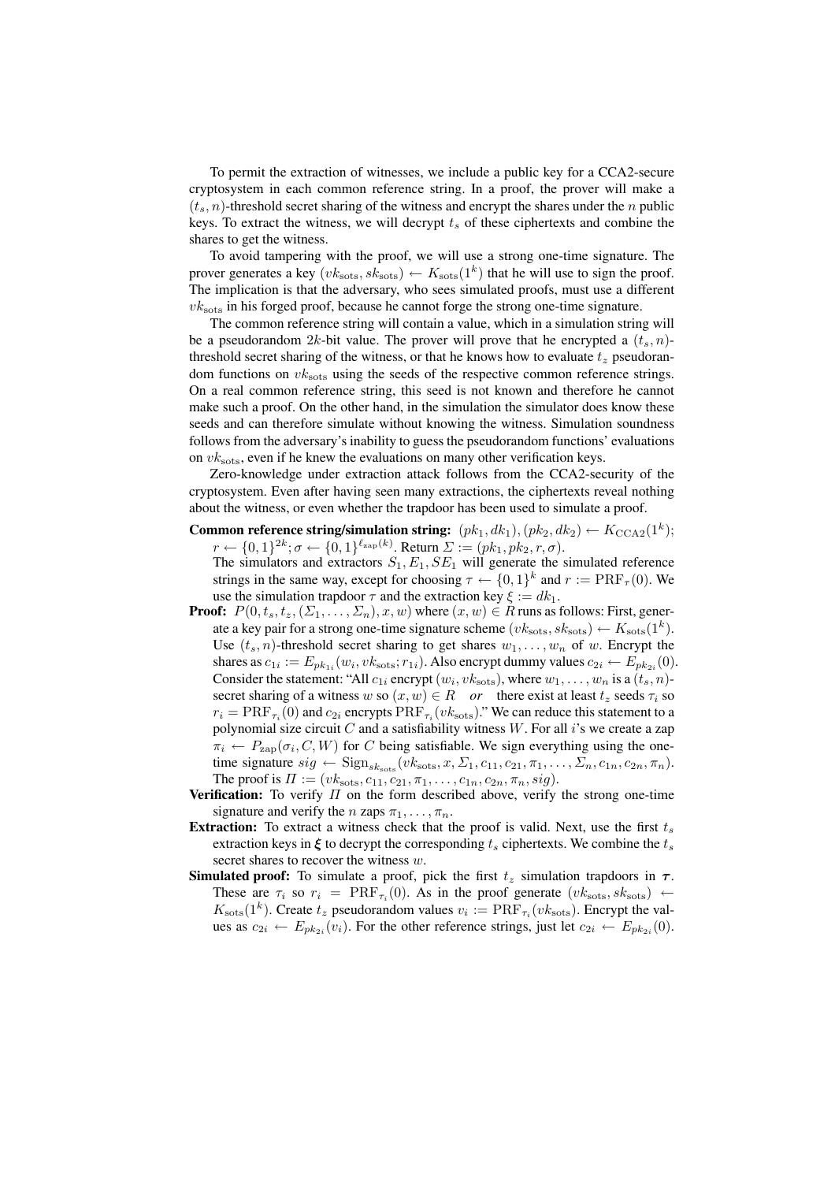To permit the extraction of witnesses, we include a public key for a CCA2-secure cryptosystem in each common reference string. In a proof, the prover will make a  $(t_s, n)$ -threshold secret sharing of the witness and encrypt the shares under the n public keys. To extract the witness, we will decrypt  $t_s$  of these ciphertexts and combine the shares to get the witness.

To avoid tampering with the proof, we will use a strong one-time signature. The prover generates a key  $(vk_{\text{sots}}, sk_{\text{sots}}) \leftarrow K_{\text{sots}}(1^k)$  that he will use to sign the proof. The implication is that the adversary, who sees simulated proofs, must use a different  $vk_{\text{sots}}$  in his forged proof, because he cannot forge the strong one-time signature.

The common reference string will contain a value, which in a simulation string will be a pseudorandom 2k-bit value. The prover will prove that he encrypted a  $(t_s, n)$ threshold secret sharing of the witness, or that he knows how to evaluate  $t_z$  pseudorandom functions on  $vk_{\text{sots}}$  using the seeds of the respective common reference strings. On a real common reference string, this seed is not known and therefore he cannot make such a proof. On the other hand, in the simulation the simulator does know these seeds and can therefore simulate without knowing the witness. Simulation soundness follows from the adversary's inability to guess the pseudorandom functions' evaluations on  $vk_{\text{sots}}$ , even if he knew the evaluations on many other verification keys.

Zero-knowledge under extraction attack follows from the CCA2-security of the cryptosystem. Even after having seen many extractions, the ciphertexts reveal nothing about the witness, or even whether the trapdoor has been used to simulate a proof.

**Common reference string/simulation string:**  $(pk_1, dk_1), (pk_2, dk_2) \leftarrow K_{\text{CCA2}}(1^k);$  $r \leftarrow \{0, 1\}^{2k}; \sigma \leftarrow \{0, 1\}^{\ell_{\rm zap}(k)}$ . Return  $\Sigma := (pk_1, pk_2, r, \sigma)$ .

The simulators and extractors  $S_1, E_1, SE_1$  will generate the simulated reference strings in the same way, except for choosing  $\tau \leftarrow \{0, 1\}^k$  and  $r := \text{PRF}_{\tau}(0)$ . We use the simulation trapdoor  $\tau$  and the extraction key  $\xi := dk_1$ .

- **Proof:**  $P(0, t_s, t_z, (\Sigma_1, \ldots, \Sigma_n), x, w)$  where  $(x, w) \in R$  runs as follows: First, generate a key pair for a strong one-time signature scheme  $(vk_{\text{sots}}, sk_{\text{sots}}) \leftarrow K_{\text{sots}}(1^k)$ . Use  $(t_s, n)$ -threshold secret sharing to get shares  $w_1, \ldots, w_n$  of w. Encrypt the shares as  $c_{1i} := E_{pk_{1i}}(w_i, v k_{\text{sets}}; r_{1i})$ . Also encrypt dummy values  $c_{2i} \leftarrow E_{pk_{2i}}(0)$ . Consider the statement: "All  $c_{1i}$  encrypt  $(w_i, vk_{\text{sots}})$ , where  $w_1, \ldots, w_n$  is a  $(t_s, n)$ secret sharing of a witness w so  $(x, w) \in R$  *or* there exist at least  $t_z$  seeds  $\tau_i$  so  $r_i = \text{PRF}_{\tau_i}(0)$  and  $c_{2i}$  encrypts  $\text{PRF}_{\tau_i}(vk_{\text{sots}})$ ." We can reduce this statement to a polynomial size circuit  $C$  and a satisfiability witness  $W$ . For all  $i$ 's we create a zap  $\pi_i \leftarrow P_{\text{zap}}(\sigma_i, C, W)$  for C being satisfiable. We sign everything using the onetime signature  $sig \leftarrow$  Sign<sub>sk<sub>sots</sub>  $(vk_{sots}, x, \Sigma_1, c_{11}, c_{21}, \pi_1, \ldots, \Sigma_n, c_{1n}, c_{2n}, \pi_n)$ .</sub> The proof is  $\Pi := (vk_{\text{sots}}, c_{11}, c_{21}, \pi_1, \dots, c_{1n}, c_{2n}, \pi_n, sig).$
- **Verification:** To verify  $\Pi$  on the form described above, verify the strong one-time signature and verify the *n* zaps  $\pi_1, \ldots, \pi_n$ .
- **Extraction:** To extract a witness check that the proof is valid. Next, use the first  $t_s$ extraction keys in  $\xi$  to decrypt the corresponding  $t_s$  ciphertexts. We combine the  $t_s$ secret shares to recover the witness  $w$ .
- **Simulated proof:** To simulate a proof, pick the first  $t<sub>z</sub>$  simulation trapdoors in  $\tau$ . These are  $\tau_i$  so  $r_i$  = PRF<sub> $\tau_i$ </sub>(0). As in the proof generate  $(vk_{\text{sots}}, sk_{\text{sots}})$   $\leftarrow$  $K_{\text{sots}}(1^k)$ . Create  $t_z$  pseudorandom values  $v_i := \text{PRF}_{\tau_i}(vk_{\text{sots}})$ . Encrypt the values as  $c_{2i} \leftarrow E_{pk_{2i}}(v_i)$ . For the other reference strings, just let  $c_{2i} \leftarrow E_{pk_{2i}}(0)$ .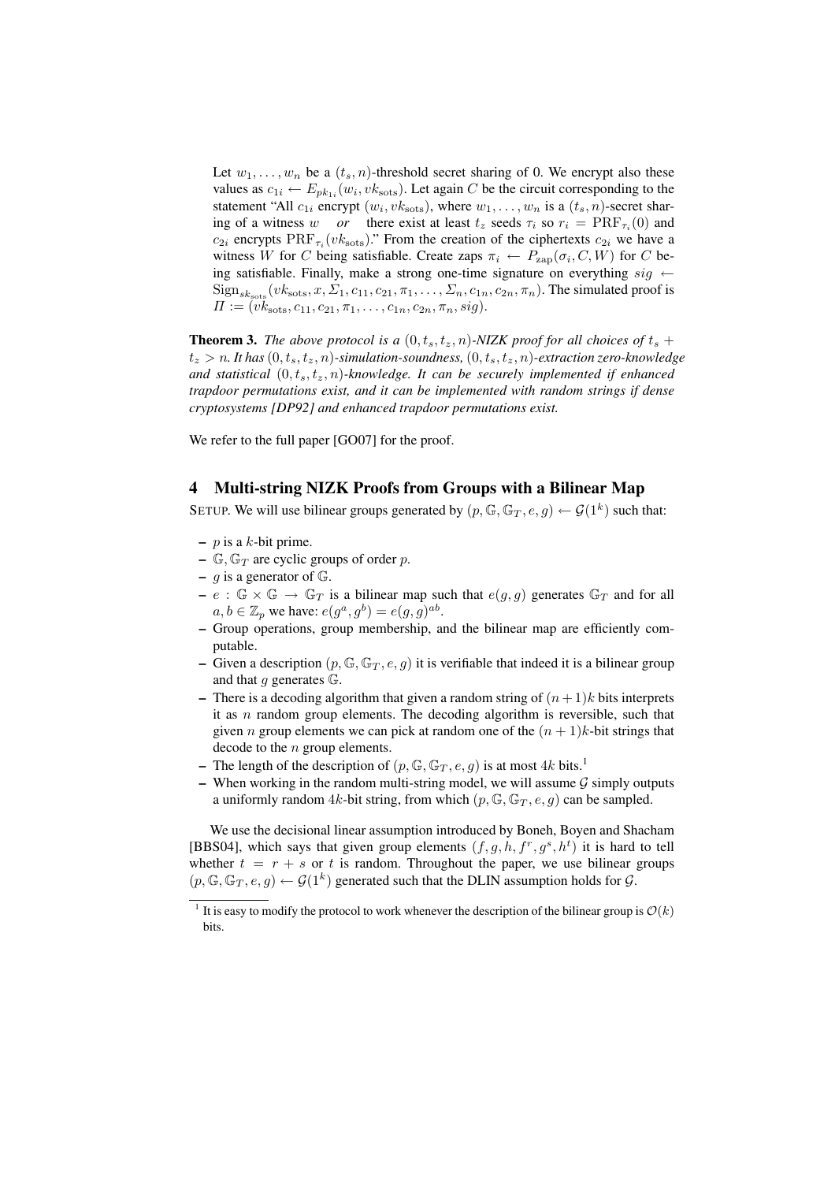Let  $w_1, \ldots, w_n$  be a  $(t_s, n)$ -threshold secret sharing of 0. We encrypt also these values as  $c_{1i} \leftarrow E_{pk_{1i}}(w_i, vk_{\text{sets}})$ . Let again C be the circuit corresponding to the statement "All  $c_{1i}$  encrypt  $(w_i, vk_{\text{sots}})$ , where  $w_1, \ldots, w_n$  is a  $(t_s, n)$ -secret sharing of a witness w *or* there exist at least  $t_z$  seeds  $\tau_i$  so  $r_i = \text{PRF}_{\tau_i}(0)$  and  $c_{2i}$  encrypts  $\text{PRF}_{\tau_i}(vk_{\text{sots}})$ ." From the creation of the ciphertexts  $c_{2i}$  we have a witness W for C being satisfiable. Create zaps  $\pi_i \leftarrow P_{\text{zap}}(\sigma_i, C, W)$  for C being satisfiable. Finally, make a strong one-time signature on everything  $sig \leftarrow$  $\text{Sign}_{sk_{\text{sots}}} (vk_{\text{sots}}, x, \Sigma_1, c_{11}, c_{21}, \pi_1, \dots, \Sigma_n, c_{1n}, c_{2n}, \pi_n)$ . The simulated proof is  $\Pi := (vk_{\text{sots}}, c_{11}, c_{21}, \pi_1, \ldots, c_{1n}, c_{2n}, \pi_n, sig).$ 

**Theorem 3.** *The above protocol is a*  $(0, t_s, t_z, n)$ *-NIZK proof for all choices of*  $t_s$  +  $t_z > n$ . It has  $(0, t_s, t_z, n)$ -simulation-soundness,  $(0, t_s, t_z, n)$ -extraction zero-knowledge and statistical  $(0, t_s, t_z, n)$ -knowledge. It can be securely implemented if enhanced *trapdoor permutations exist, and it can be implemented with random strings if dense cryptosystems [DP92] and enhanced trapdoor permutations exist.*

We refer to the full paper [GO07] for the proof.

# 4 Multi-string NIZK Proofs from Groups with a Bilinear Map

SETUP. We will use bilinear groups generated by  $(p, \mathbb{G}, \mathbb{G}_T, e, g) \leftarrow \mathcal{G}(1^k)$  such that:

- $p$  is a  $k$ -bit prime.
- $\mathbb{G}, \mathbb{G}_T$  are cyclic groups of order p.
- q is a generator of  $\mathbb{G}$ .
- $e : \mathbb{G} \times \mathbb{G} \to \mathbb{G}_T$  is a bilinear map such that  $e(g, g)$  generates  $\mathbb{G}_T$  and for all  $a, b \in \mathbb{Z}_p$  we have:  $e(g^a, g^b) = e(g, g)^{ab}$ .
- Group operations, group membership, and the bilinear map are efficiently computable.
- Given a description  $(p, \mathbb{G}, \mathbb{G}_T, e, q)$  it is verifiable that indeed it is a bilinear group and that q generates  $\mathbb{G}$ .
- There is a decoding algorithm that given a random string of  $(n+1)k$  bits interprets it as  $n$  random group elements. The decoding algorithm is reversible, such that given n group elements we can pick at random one of the  $(n + 1)k$ -bit strings that decode to the *n* group elements.
- The length of the description of  $(p, \mathbb{G}, \mathbb{G}_T, e, g)$  is at most 4k bits.<sup>1</sup>
- When working in the random multi-string model, we will assume  $\mathcal G$  simply outputs a uniformly random 4k-bit string, from which  $(p, \mathbb{G}, \mathbb{G}_T, e, q)$  can be sampled.

We use the decisional linear assumption introduced by Boneh, Boyen and Shacham [BBS04], which says that given group elements  $(f, g, h, f^r, g^s, h^t)$  it is hard to tell whether  $t = r + s$  or t is random. Throughout the paper, we use bilinear groups  $(p, \mathbb{G}, \mathbb{G}_T, e, g) \leftarrow \mathcal{G}(1^k)$  generated such that the DLIN assumption holds for  $\mathcal{G}$ .

<sup>&</sup>lt;sup>1</sup> It is easy to modify the protocol to work whenever the description of the bilinear group is  $O(k)$ bits.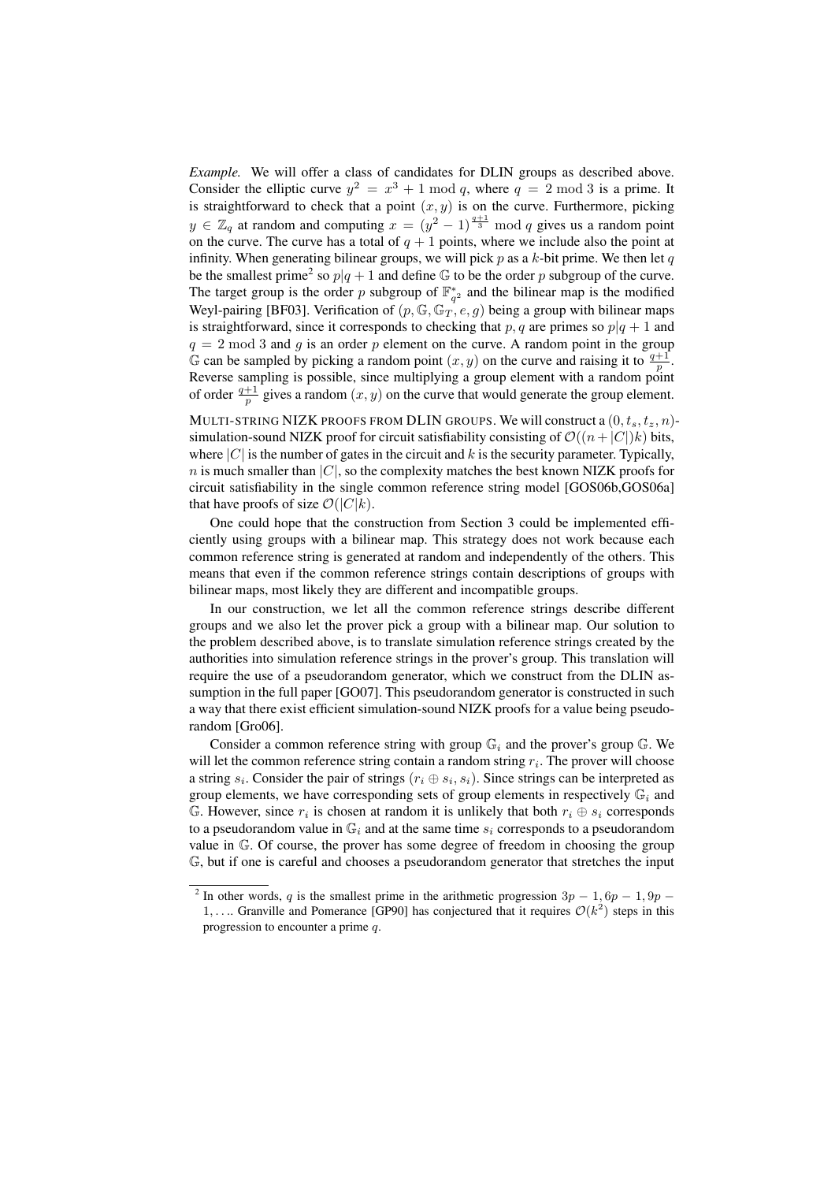*Example.* We will offer a class of candidates for DLIN groups as described above. Consider the elliptic curve  $y^2 = x^3 + 1 \mod q$ , where  $q = 2 \mod 3$  is a prime. It is straightforward to check that a point  $(x, y)$  is on the curve. Furthermore, picking  $y \in \mathbb{Z}_q$  at random and computing  $x = (y^2 - 1)^{\frac{q+1}{3}} \mod q$  gives us a random point on the curve. The curve has a total of  $q + 1$  points, where we include also the point at infinity. When generating bilinear groups, we will pick p as a  $k$ -bit prime. We then let q be the smallest prime<sup>2</sup> so  $p|q + 1$  and define  $\mathbb G$  to be the order p subgroup of the curve. The target group is the order p subgroup of  $\mathbb{F}_{q^2}^*$  and the bilinear map is the modified Weyl-pairing [BF03]. Verification of  $(p, \mathbb{G}, \mathbb{G}_T, e, q)$  being a group with bilinear maps is straightforward, since it corresponds to checking that p, q are primes so  $p|q + 1$  and  $q = 2 \text{ mod } 3$  and g is an order p element on the curve. A random point in the group G can be sampled by picking a random point  $(x, y)$  on the curve and raising it to  $\frac{q+1}{p}$ . Reverse sampling is possible, since multiplying a group element with a random point of order  $\frac{q+1}{p}$  gives a random  $(x, y)$  on the curve that would generate the group element.

MULTI-STRING NIZK PROOFS FROM DLIN GROUPS. We will construct a  $(0, t<sub>s</sub>, t<sub>z</sub>, n)$ simulation-sound NIZK proof for circuit satisfiability consisting of  $\mathcal{O}((n+|C|)k)$  bits, where  $|C|$  is the number of gates in the circuit and k is the security parameter. Typically,  $n$  is much smaller than  $|C|$ , so the complexity matches the best known NIZK proofs for circuit satisfiability in the single common reference string model [GOS06b,GOS06a] that have proofs of size  $\mathcal{O}(|C|k)$ .

One could hope that the construction from Section 3 could be implemented efficiently using groups with a bilinear map. This strategy does not work because each common reference string is generated at random and independently of the others. This means that even if the common reference strings contain descriptions of groups with bilinear maps, most likely they are different and incompatible groups.

In our construction, we let all the common reference strings describe different groups and we also let the prover pick a group with a bilinear map. Our solution to the problem described above, is to translate simulation reference strings created by the authorities into simulation reference strings in the prover's group. This translation will require the use of a pseudorandom generator, which we construct from the DLIN assumption in the full paper [GO07]. This pseudorandom generator is constructed in such a way that there exist efficient simulation-sound NIZK proofs for a value being pseudorandom [Gro06].

Consider a common reference string with group  $\mathbb{G}_i$  and the prover's group  $\mathbb{G}$ . We will let the common reference string contain a random string  $r_i$ . The prover will choose a string  $s_i$ . Consider the pair of strings  $(r_i \oplus s_i, s_i)$ . Since strings can be interpreted as group elements, we have corresponding sets of group elements in respectively  $\mathbb{G}_i$  and  $\mathbb{G}$ . However, since  $r_i$  is chosen at random it is unlikely that both  $r_i \oplus s_i$  corresponds to a pseudorandom value in  $\mathbb{G}_i$  and at the same time  $s_i$  corresponds to a pseudorandom value in G. Of course, the prover has some degree of freedom in choosing the group G, but if one is careful and chooses a pseudorandom generator that stretches the input

<sup>&</sup>lt;sup>2</sup> In other words, q is the smallest prime in the arithmetic progression  $3p - 1$ ,  $6p - 1$ ,  $9p -$ 1, .... Granville and Pomerance [GP90] has conjectured that it requires  $\mathcal{O}(k^2)$  steps in this progression to encounter a prime q.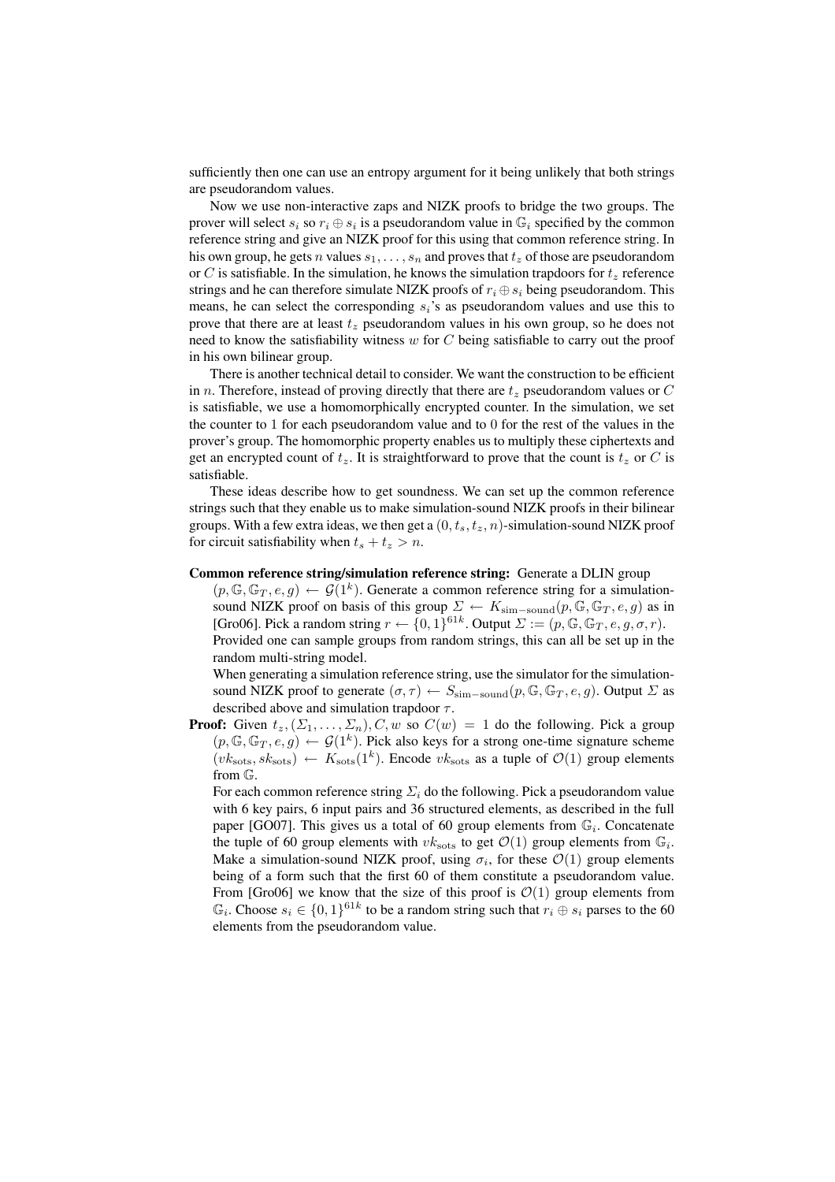sufficiently then one can use an entropy argument for it being unlikely that both strings are pseudorandom values.

Now we use non-interactive zaps and NIZK proofs to bridge the two groups. The prover will select  $s_i$  so  $r_i \oplus s_i$  is a pseudorandom value in  $\mathbb{G}_i$  specified by the common reference string and give an NIZK proof for this using that common reference string. In his own group, he gets n values  $s_1, \ldots, s_n$  and proves that  $t_z$  of those are pseudorandom or C is satisfiable. In the simulation, he knows the simulation trapdoors for  $t<sub>z</sub>$  reference strings and he can therefore simulate NIZK proofs of  $r_i \oplus s_i$  being pseudorandom. This means, he can select the corresponding  $s_i$ 's as pseudorandom values and use this to prove that there are at least  $t_z$  pseudorandom values in his own group, so he does not need to know the satisfiability witness  $w$  for  $C$  being satisfiable to carry out the proof in his own bilinear group.

There is another technical detail to consider. We want the construction to be efficient in n. Therefore, instead of proving directly that there are  $t_z$  pseudorandom values or  $C$ is satisfiable, we use a homomorphically encrypted counter. In the simulation, we set the counter to 1 for each pseudorandom value and to 0 for the rest of the values in the prover's group. The homomorphic property enables us to multiply these ciphertexts and get an encrypted count of  $t_z$ . It is straightforward to prove that the count is  $t_z$  or C is satisfiable.

These ideas describe how to get soundness. We can set up the common reference strings such that they enable us to make simulation-sound NIZK proofs in their bilinear groups. With a few extra ideas, we then get a  $(0, t_s, t_z, n)$ -simulation-sound NIZK proof for circuit satisfiability when  $t_s + t_z > n$ .

#### Common reference string/simulation reference string: Generate a DLIN group

 $(p, \mathbb{G}, \mathbb{G}_T, e, g) \leftarrow \mathcal{G}(1^k)$ . Generate a common reference string for a simulationsound NIZK proof on basis of this group  $\Sigma \leftarrow K_{sim-sound}(p, \mathbb{G}, \mathbb{G}_T, e, g)$  as in [Gro06]. Pick a random string  $r \leftarrow \{0, 1\}^{61k}$ . Output  $\Sigma := (p, \mathbb{G}, \mathbb{G}_T, e, g, \sigma, r)$ . Provided one can sample groups from random strings, this can all be set up in the random multi-string model.

When generating a simulation reference string, use the simulator for the simulationsound NIZK proof to generate  $(\sigma, \tau) \leftarrow S_{sim-sound}(p, \mathbb{G}, \mathbb{G}_T, e, g)$ . Output  $\Sigma$  as described above and simulation trapdoor  $\tau$ .

**Proof:** Given  $t_z$ ,  $(\Sigma_1, \ldots, \Sigma_n)$ ,  $C$ ,  $w$  so  $C(w) = 1$  do the following. Pick a group  $(p, \mathbb{G}, \mathbb{G}_T, e, g) \leftarrow \mathcal{G}(1^k)$ . Pick also keys for a strong one-time signature scheme  $(vk_{\text{sots}}, sk_{\text{sots}}) \leftarrow K_{\text{sots}}(1^k)$ . Encode  $vk_{\text{sots}}$  as a tuple of  $\mathcal{O}(1)$  group elements from G.

For each common reference string  $\Sigma_i$  do the following. Pick a pseudorandom value with 6 key pairs, 6 input pairs and 36 structured elements, as described in the full paper [GO07]. This gives us a total of 60 group elements from  $\mathbb{G}_i$ . Concatenate the tuple of 60 group elements with  $vk_{\text{sets}}$  to get  $\mathcal{O}(1)$  group elements from  $\mathbb{G}_i$ . Make a simulation-sound NIZK proof, using  $\sigma_i$ , for these  $\mathcal{O}(1)$  group elements being of a form such that the first 60 of them constitute a pseudorandom value. From [Gro06] we know that the size of this proof is  $\mathcal{O}(1)$  group elements from  $\mathbb{G}_i$ . Choose  $s_i \in \{0,1\}^{61k}$  to be a random string such that  $r_i \oplus s_i$  parses to the 60 elements from the pseudorandom value.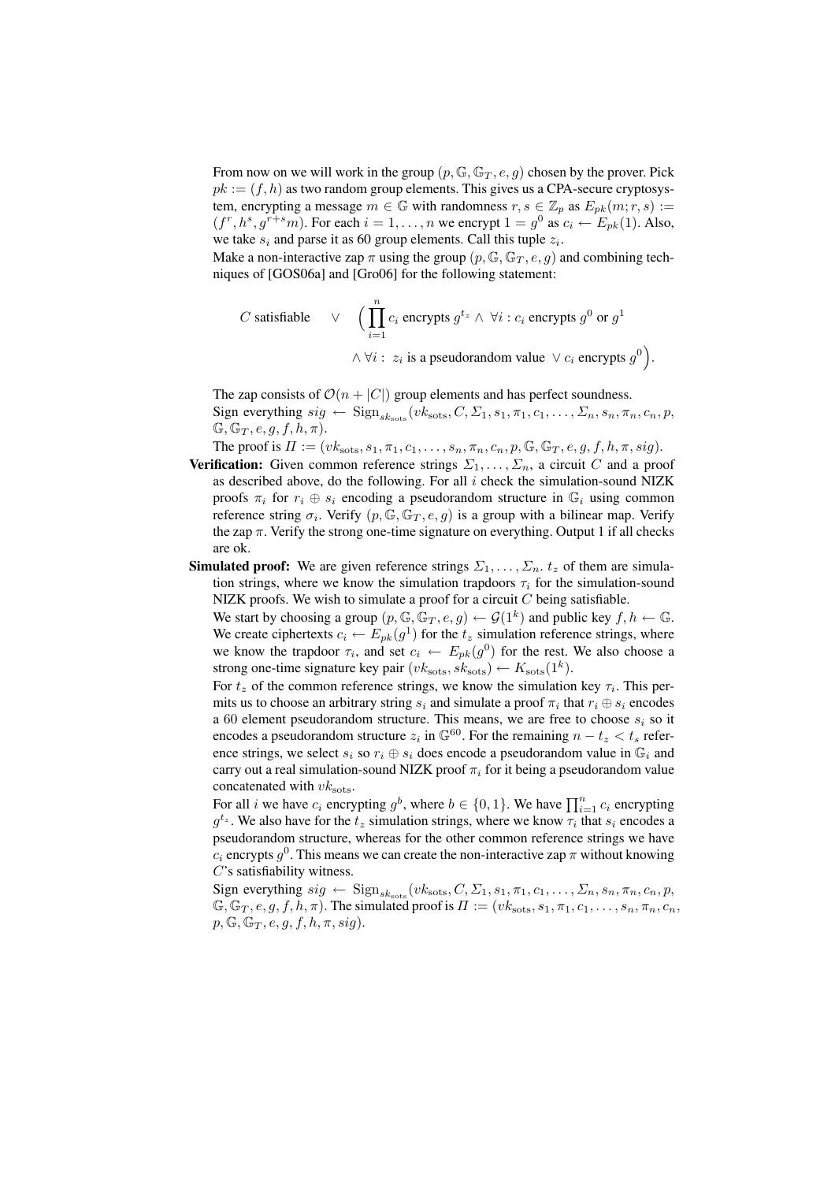From now on we will work in the group  $(p, \mathbb{G}, \mathbb{G}_T, e, q)$  chosen by the prover. Pick  $pk := (f, h)$  as two random group elements. This gives us a CPA-secure cryptosystem, encrypting a message  $m \in \mathbb{G}$  with randomness  $r, s \in \mathbb{Z}_p$  as  $E_{pk}(m; r, s) :=$  $(f^r, h^s, g^{r+s}m)$ . For each  $i = 1, ..., n$  we encrypt  $1 = g^0$  as  $c_i \leftarrow E_{pk}(1)$ . Also, we take  $s_i$  and parse it as 60 group elements. Call this tuple  $z_i$ .

Make a non-interactive zap  $\pi$  using the group  $(p, \mathbb{G}, \mathbb{G}_T, e, g)$  and combining techniques of [GOS06a] and [Gro06] for the following statement:

*C* satisfiable 
$$
\vee \left( \prod_{i=1}^{n} c_i \text{ encrypts } g^{t_z} \wedge \forall i : c_i \text{ encrypts } g^0 \text{ or } g^1
$$
  
 $\wedge \forall i : z_i \text{ is a pseudorandom value } \vee c_i \text{ encrypts } g^0 \right).$ 

The zap consists of  $O(n + |C|)$  group elements and has perfect soundness.

Sign everything  $sig \leftarrow$  Sign<sub>sksots</sub>  $(vk_{sots}, C, \Sigma_1, s_1, \pi_1, c_1, \ldots, \Sigma_n, s_n, \pi_n, c_n, p,$  $\mathbb{G}, \mathbb{G}_T, e, q, f, h, \pi$ .

The proof is  $\Pi := (vk_{\text{sots}}, s_1, \pi_1, c_1, \ldots, s_n, \pi_n, c_n, p, \mathbb{G}, \mathbb{G}_T, e, g, f, h, \pi, sig).$ 

- **Verification:** Given common reference strings  $\Sigma_1, \ldots, \Sigma_n$ , a circuit C and a proof as described above, do the following. For all  $i$  check the simulation-sound NIZK proofs  $\pi_i$  for  $r_i \oplus s_i$  encoding a pseudorandom structure in  $\mathbb{G}_i$  using common reference string  $\sigma_i$ . Verify  $(p, \mathbb{G}, \mathbb{G}_T, e, g)$  is a group with a bilinear map. Verify the zap  $\pi$ . Verify the strong one-time signature on everything. Output 1 if all checks are ok.
- **Simulated proof:** We are given reference strings  $\Sigma_1, \ldots, \Sigma_n$ ,  $t_z$  of them are simulation strings, where we know the simulation trapdoors  $\tau_i$  for the simulation-sound NIZK proofs. We wish to simulate a proof for a circuit  $C$  being satisfiable.

We start by choosing a group  $(p, \mathbb{G}, \mathbb{G}_T, e, g) \leftarrow \mathcal{G}(1^k)$  and public key  $f, h \leftarrow \mathbb{G}$ . We create ciphertexts  $c_i \leftarrow E_{pk}(g^1)$  for the  $t_z$  simulation reference strings, where we know the trapdoor  $\tau_i$ , and set  $c_i \leftarrow E_{pk}(g^0)$  for the rest. We also choose a strong one-time signature key pair  $(vk_{\text{sots}}, sk_{\text{sots}}) \leftarrow K_{\text{sots}}(1^k)$ .

For  $t_z$  of the common reference strings, we know the simulation key  $\tau_i$ . This permits us to choose an arbitrary string  $s_i$  and simulate a proof  $\pi_i$  that  $r_i \oplus s_i$  encodes a 60 element pseudorandom structure. This means, we are free to choose  $s_i$  so it encodes a pseudorandom structure  $z_i$  in  $\mathbb{G}^{60}$ . For the remaining  $n - t_z < t_s$  reference strings, we select  $s_i$  so  $r_i \oplus s_i$  does encode a pseudorandom value in  $\mathbb{G}_i$  and carry out a real simulation-sound NIZK proof  $\pi_i$  for it being a pseudorandom value concatenated with  $vk_{\text{sots}}$ .

For all *i* we have  $c_i$  encrypting  $g^b$ , where  $b \in \{0, 1\}$ . We have  $\prod_{i=1}^n c_i$  encrypting  $g^{t_z}$ . We also have for the  $t_z$  simulation strings, where we know  $\tau_i$  that  $s_i$  encodes a pseudorandom structure, whereas for the other common reference strings we have  $c_i$  encrypts  $g^0$ . This means we can create the non-interactive zap  $\pi$  without knowing C's satisfiability witness.

Sign everything  $sig \leftarrow$  Sign<sub>sksots</sub>  $(vk_{sots}, C, \Sigma_1, s_1, \pi_1, c_1, \ldots, \Sigma_n, s_n, \pi_n, c_n, p,$  $\mathbb{G}, \mathbb{G}_T, e, g, f, h, \pi$ ). The simulated proof is  $\Pi := (vk_{\text{sets}}, s_1, \pi_1, c_1, \ldots, s_n, \pi_n, c_n,$  $p, \mathbb{G}, \mathbb{G}_T, e, g, f, h, \pi, sig$ .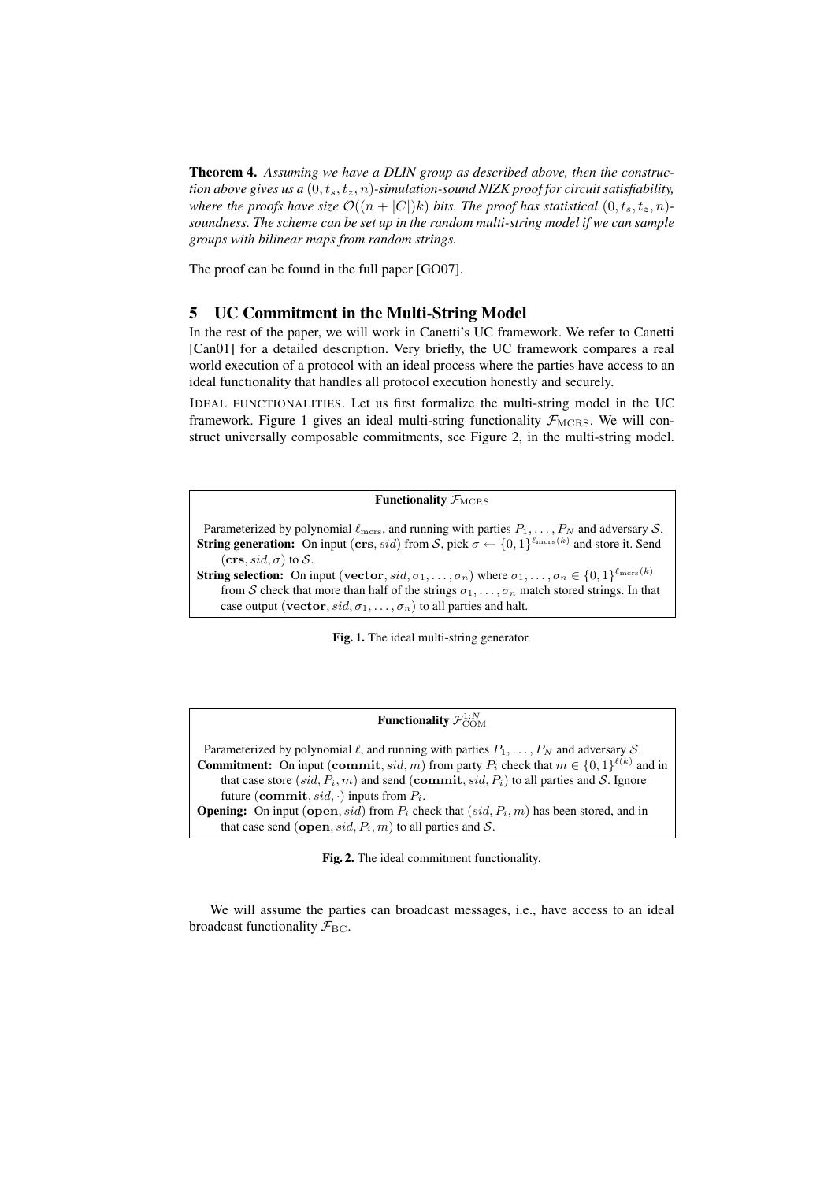Theorem 4. *Assuming we have a DLIN group as described above, then the construction above gives us a*  $(0, t_s, t_z, n)$ -simulation-sound NIZK proof for circuit satisfiability, *where the proofs have size*  $\mathcal{O}((n+|C|)k)$  *bits. The proof has statistical*  $(0, t_s, t_z, n)$ *soundness. The scheme can be set up in the random multi-string model if we can sample groups with bilinear maps from random strings.*

The proof can be found in the full paper [GO07].

#### 5 UC Commitment in the Multi-String Model

In the rest of the paper, we will work in Canetti's UC framework. We refer to Canetti [Can01] for a detailed description. Very briefly, the UC framework compares a real world execution of a protocol with an ideal process where the parties have access to an ideal functionality that handles all protocol execution honestly and securely.

IDEAL FUNCTIONALITIES. Let us first formalize the multi-string model in the UC framework. Figure 1 gives an ideal multi-string functionality  $\mathcal{F}_{MCRS}$ . We will construct universally composable commitments, see Figure 2, in the multi-string model.

Functionality  $\mathcal{F}_{\text{MCRS}}$ 

Parameterized by polynomial  $\ell_{\text{mcrs}}$ , and running with parties  $P_1, \ldots, P_N$  and adversary S. **String generation:** On input (crs, sid) from S, pick  $\sigma \leftarrow \{0, 1\}^{\ell_{\text{mcrs}}(k)}$  and store it. Send  $(crs, sid, \sigma)$  to S. **String selection:** On input  $(\text{vector}, sid, \sigma_1, \ldots, \sigma_n)$  where  $\sigma_1, \ldots, \sigma_n \in \{0,1\}^{\ell_{\text{mcrs}}(k)}$ 

from S check that more than half of the strings  $\sigma_1, \ldots, \sigma_n$  match stored strings. In that case output (vector,  $sid, \sigma_1, \ldots, \sigma_n$ ) to all parties and halt.

Fig. 1. The ideal multi-string generator.

# Functionality  $\mathcal{F}^{1:N}_{\text{COM}}$

Parameterized by polynomial  $\ell$ , and running with parties  $P_1, \ldots, P_N$  and adversary S. **Commitment:** On input (commit, sid, m) from party  $P_i$  check that  $m \in \{0,1\}^{\ell(k)}$  and in that case store  $(sid, P_i, m)$  and send (commit, sid,  $P_i$ ) to all parties and S. Ignore future (commit,  $sid$ , ·) inputs from  $P_i$ . **Opening:** On input (open, sid) from  $P_i$  check that  $(sid, P_i, m)$  has been stored, and in that case send (open, sid,  $P_i$ , m) to all parties and S.

Fig. 2. The ideal commitment functionality.

We will assume the parties can broadcast messages, i.e., have access to an ideal broadcast functionality  $\mathcal{F}_{\text{BC}}$ .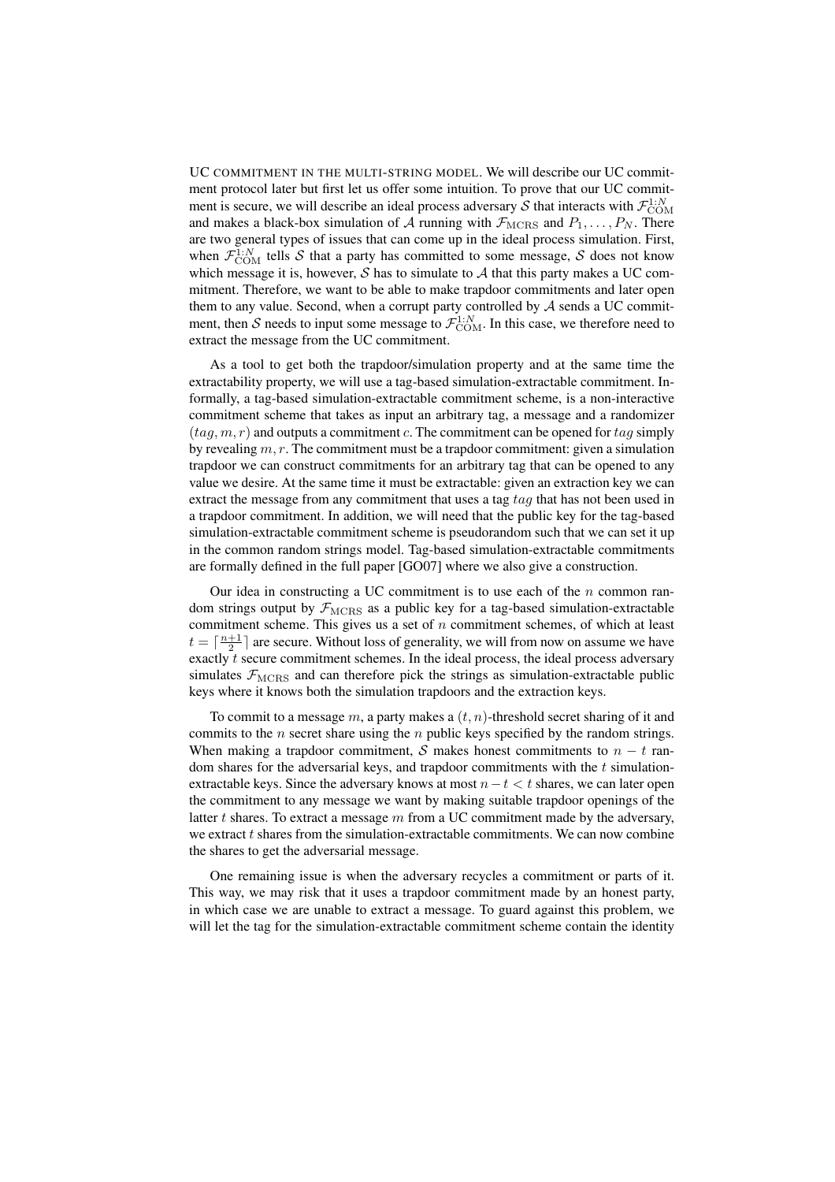UC COMMITMENT IN THE MULTI-STRING MODEL. We will describe our UC commitment protocol later but first let us offer some intuition. To prove that our UC commitment is secure, we will describe an ideal process adversary S that interacts with  $\mathcal{F}^{1:N}_{COM}$ and makes a black-box simulation of A running with  $\mathcal{F}_{\text{MCRS}}$  and  $P_1, \ldots, P_N$ . There are two general types of issues that can come up in the ideal process simulation. First, when  $\mathcal{F}^{1:N}_{COM}$  tells S that a party has committed to some message, S does not know which message it is, however,  $S$  has to simulate to  $A$  that this party makes a UC commitment. Therefore, we want to be able to make trapdoor commitments and later open them to any value. Second, when a corrupt party controlled by  $A$  sends a UC commitment, then S needs to input some message to  $\mathcal{F}^{1:N}_{\text{COM}}$ . In this case, we therefore need to extract the message from the UC commitment.

As a tool to get both the trapdoor/simulation property and at the same time the extractability property, we will use a tag-based simulation-extractable commitment. Informally, a tag-based simulation-extractable commitment scheme, is a non-interactive commitment scheme that takes as input an arbitrary tag, a message and a randomizer  $(tag, m, r)$  and outputs a commitment c. The commitment can be opened for  $tag$  simply by revealing  $m, r$ . The commitment must be a trapdoor commitment: given a simulation trapdoor we can construct commitments for an arbitrary tag that can be opened to any value we desire. At the same time it must be extractable: given an extraction key we can extract the message from any commitment that uses a tag  $tag$  that has not been used in a trapdoor commitment. In addition, we will need that the public key for the tag-based simulation-extractable commitment scheme is pseudorandom such that we can set it up in the common random strings model. Tag-based simulation-extractable commitments are formally defined in the full paper [GO07] where we also give a construction.

Our idea in constructing a UC commitment is to use each of the  $n$  common random strings output by  $\mathcal{F}_{\text{MCRS}}$  as a public key for a tag-based simulation-extractable commitment scheme. This gives us a set of  $n$  commitment schemes, of which at least  $t = \lceil \frac{n+1}{2} \rceil$  are secure. Without loss of generality, we will from now on assume we have exactly  $t$  secure commitment schemes. In the ideal process, the ideal process adversary simulates  $\mathcal{F}_{MCRS}$  and can therefore pick the strings as simulation-extractable public keys where it knows both the simulation trapdoors and the extraction keys.

To commit to a message m, a party makes a  $(t, n)$ -threshold secret sharing of it and commits to the *n* secret share using the *n* public keys specified by the random strings. When making a trapdoor commitment, S makes honest commitments to  $n - t$  random shares for the adversarial keys, and trapdoor commitments with the  $t$  simulationextractable keys. Since the adversary knows at most  $n-t < t$  shares, we can later open the commitment to any message we want by making suitable trapdoor openings of the latter  $t$  shares. To extract a message  $m$  from a UC commitment made by the adversary, we extract  $t$  shares from the simulation-extractable commitments. We can now combine the shares to get the adversarial message.

One remaining issue is when the adversary recycles a commitment or parts of it. This way, we may risk that it uses a trapdoor commitment made by an honest party, in which case we are unable to extract a message. To guard against this problem, we will let the tag for the simulation-extractable commitment scheme contain the identity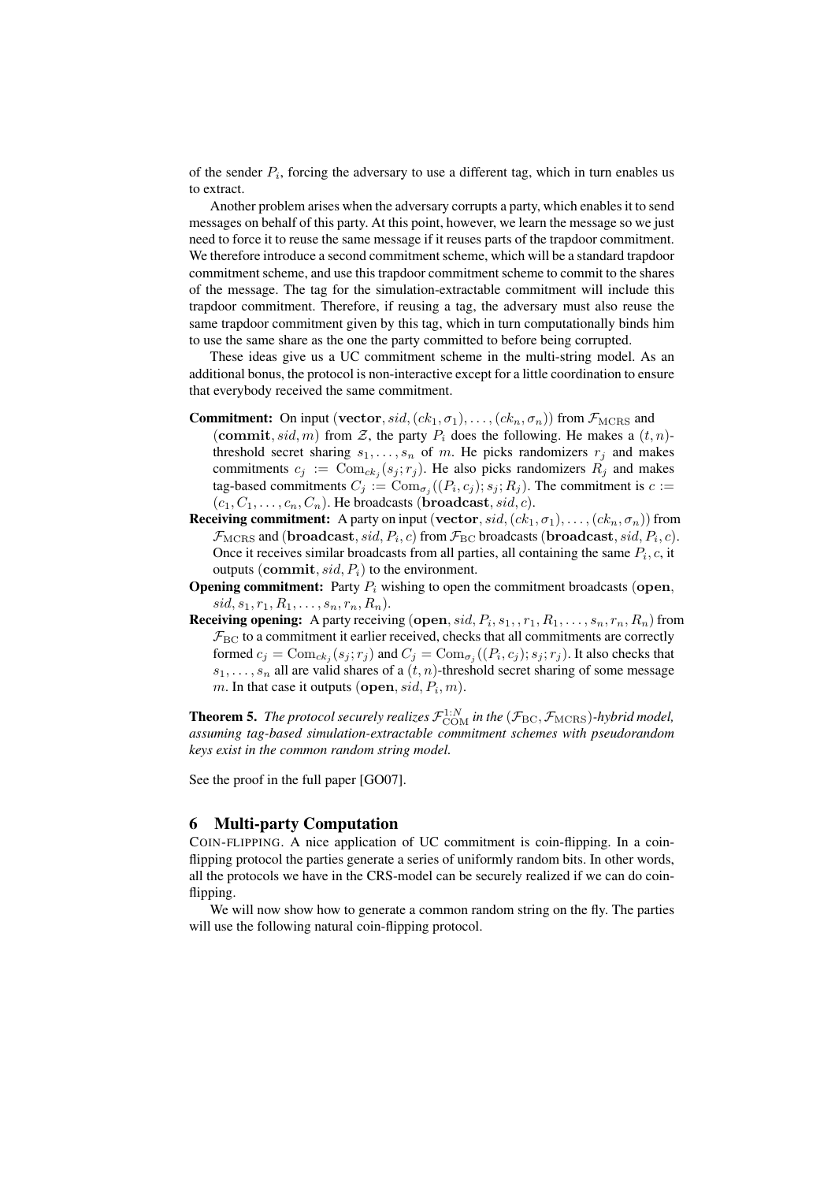of the sender  $P_i$ , forcing the adversary to use a different tag, which in turn enables us to extract.

Another problem arises when the adversary corrupts a party, which enables it to send messages on behalf of this party. At this point, however, we learn the message so we just need to force it to reuse the same message if it reuses parts of the trapdoor commitment. We therefore introduce a second commitment scheme, which will be a standard trapdoor commitment scheme, and use this trapdoor commitment scheme to commit to the shares of the message. The tag for the simulation-extractable commitment will include this trapdoor commitment. Therefore, if reusing a tag, the adversary must also reuse the same trapdoor commitment given by this tag, which in turn computationally binds him to use the same share as the one the party committed to before being corrupted.

These ideas give us a UC commitment scheme in the multi-string model. As an additional bonus, the protocol is non-interactive except for a little coordination to ensure that everybody received the same commitment.

- **Commitment:** On input (vector, sid,  $(ck_1, \sigma_1), \ldots, (ck_n, \sigma_n)$ ) from  $\mathcal{F}_{\text{MCRS}}$  and (commit, sid, m) from  $\mathcal{Z}$ , the party  $P_i$  does the following. He makes a  $(t, n)$ threshold secret sharing  $s_1, \ldots, s_n$  of m. He picks randomizers  $r_i$  and makes commitments  $c_j := \text{Com}_{ck_j}(s_j; r_j)$ . He also picks randomizers  $R_j$  and makes tag-based commitments  $C_j := \text{Com}_{\sigma_j}((P_i, c_j); s_j; R_j)$ . The commitment is  $c :=$  $(c_1, C_1, \ldots, c_n, C_n)$ . He broadcasts (broadcast, sid, c).
- **Receiving commitment:** A party on input (vector, sid,  $(ck_1, \sigma_1), \ldots, (ck_n, \sigma_n)$ ) from  $\mathcal{F}_{\text{MCRS}}$  and (broadcast,  $sid, P_i, c)$  from  $\mathcal{F}_{\text{BC}}$  broadcasts (broadcast,  $sid, P_i, c$ ). Once it receives similar broadcasts from all parties, all containing the same  $P_i$ ,  $c$ , it outputs (commit,  $sid, P_i$ ) to the environment.
- **Opening commitment:** Party  $P_i$  wishing to open the commitment broadcasts (open,  $sid, s_1, r_1, R_1, \ldots, s_n, r_n, R_n).$
- **Receiving opening:** A party receiving (open,  $sid, P_i, s_1, r_1, R_1, \ldots, s_n, r_n, R_n)$  from  $\mathcal{F}_{BC}$  to a commitment it earlier received, checks that all commitments are correctly formed  $c_j = \text{Com}_{ck_j}(s_j; r_j)$  and  $C_j = \text{Com}_{\sigma_j}((P_i, c_j); s_j; r_j)$ . It also checks that  $s_1, \ldots, s_n$  all are valid shares of a  $(t, n)$ -threshold secret sharing of some message m. In that case it outputs (open,  $sid, P_i, m$ ).

**Theorem 5.** The protocol securely realizes  $\mathcal{F}_{\text{COM}}^{1:N}$  in the  $(\mathcal{F}_{\text{BC}}, \mathcal{F}_{\text{MCRS}})$ -hybrid model, *assuming tag-based simulation-extractable commitment schemes with pseudorandom keys exist in the common random string model.*

See the proof in the full paper [GO07].

### 6 Multi-party Computation

COIN-FLIPPING. A nice application of UC commitment is coin-flipping. In a coinflipping protocol the parties generate a series of uniformly random bits. In other words, all the protocols we have in the CRS-model can be securely realized if we can do coinflipping.

We will now show how to generate a common random string on the fly. The parties will use the following natural coin-flipping protocol.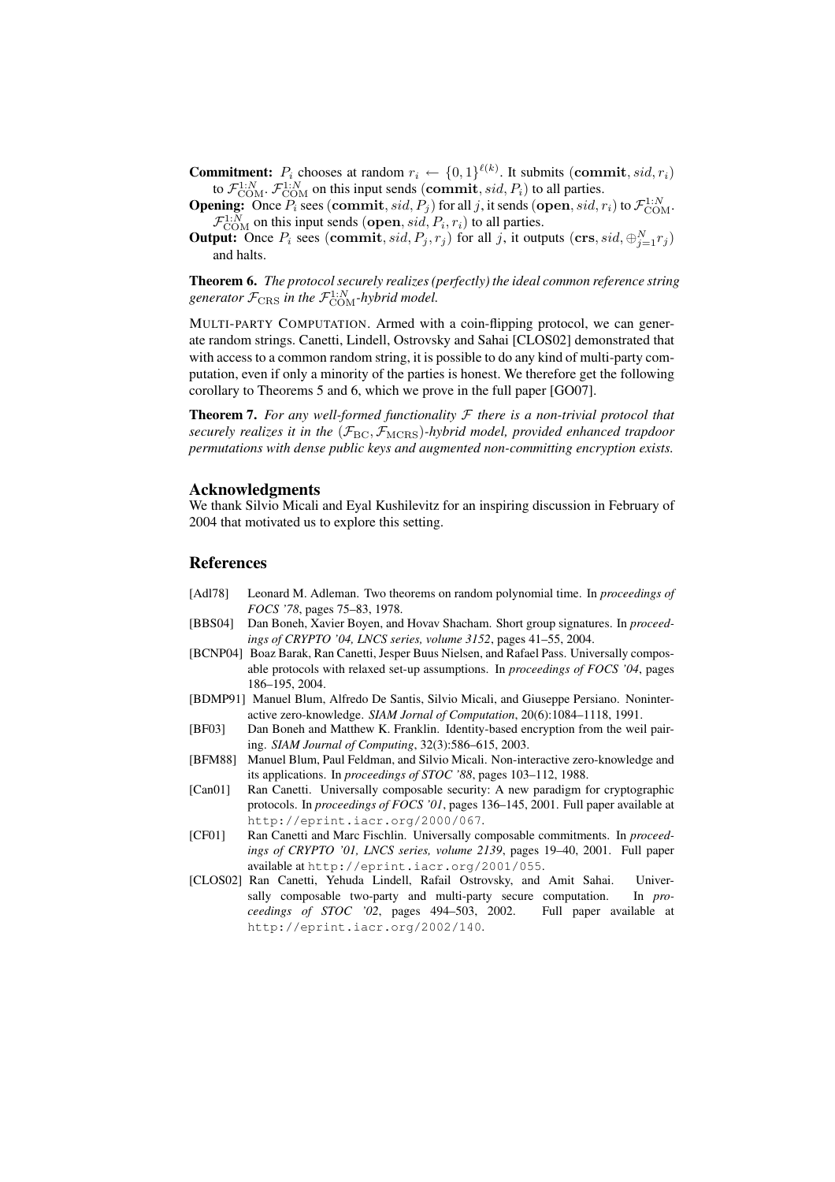**Commitment:**  $P_i$  chooses at random  $r_i \leftarrow \{0,1\}^{\ell(k)}$ . It submits (commit, sid,  $r_i$ ) to  $\mathcal{F}^{1:N}_{\text{COM}}$ .  $\mathcal{F}^{1:N}_{\text{COM}}$  on this input sends (commit,  $sid, P_i$ ) to all parties.

**Opening:** Once  $P_i$  sees (commit, sid,  $P_j$ ) for all j, it sends (open, sid,  $r_i$ ) to  $\mathcal{F}_{\text{COM}}^{1:N}$ .  $\mathcal{F}_{\text{COM}}^{1:N}$  on this input sends (open,  $sid, P_i, r_i)$  to all parties.

**Output:** Once  $P_i$  sees (commit, sid,  $P_j$ ,  $r_j$ ) for all j, it outputs (crs, sid,  $\bigoplus_{j=1}^{N} r_j$ ) and halts.

Theorem 6. *The protocol securely realizes (perfectly) the ideal common reference string* generator  $\mathcal{F}_{\text{CRS}}$  in the  $\mathcal{F}_{\text{COM}}^{1:N}$ -hybrid model.

MULTI-PARTY COMPUTATION. Armed with a coin-flipping protocol, we can generate random strings. Canetti, Lindell, Ostrovsky and Sahai [CLOS02] demonstrated that with access to a common random string, it is possible to do any kind of multi-party computation, even if only a minority of the parties is honest. We therefore get the following corollary to Theorems 5 and 6, which we prove in the full paper [GO07].

Theorem 7. *For any well-formed functionality* F *there is a non-trivial protocol that securely realizes it in the*  $(\mathcal{F}_{BC}, \mathcal{F}_{MCRS})$ *-hybrid model, provided enhanced trapdoor permutations with dense public keys and augmented non-committing encryption exists.*

#### Acknowledgments

We thank Silvio Micali and Eyal Kushilevitz for an inspiring discussion in February of 2004 that motivated us to explore this setting.

## References

- [Adl78] Leonard M. Adleman. Two theorems on random polynomial time. In *proceedings of FOCS '78*, pages 75–83, 1978.
- [BBS04] Dan Boneh, Xavier Boyen, and Hovav Shacham. Short group signatures. In *proceedings of CRYPTO '04, LNCS series, volume 3152*, pages 41–55, 2004.
- [BCNP04] Boaz Barak, Ran Canetti, Jesper Buus Nielsen, and Rafael Pass. Universally composable protocols with relaxed set-up assumptions. In *proceedings of FOCS '04*, pages 186–195, 2004.
- [BDMP91] Manuel Blum, Alfredo De Santis, Silvio Micali, and Giuseppe Persiano. Noninteractive zero-knowledge. *SIAM Jornal of Computation*, 20(6):1084–1118, 1991.
- [BF03] Dan Boneh and Matthew K. Franklin. Identity-based encryption from the weil pairing. *SIAM Journal of Computing*, 32(3):586–615, 2003.
- [BFM88] Manuel Blum, Paul Feldman, and Silvio Micali. Non-interactive zero-knowledge and its applications. In *proceedings of STOC '88*, pages 103–112, 1988.
- [Can01] Ran Canetti. Universally composable security: A new paradigm for cryptographic protocols. In *proceedings of FOCS '01*, pages 136–145, 2001. Full paper available at http://eprint.iacr.org/2000/067.
- [CF01] Ran Canetti and Marc Fischlin. Universally composable commitments. In *proceedings of CRYPTO '01, LNCS series, volume 2139*, pages 19–40, 2001. Full paper available at http://eprint.iacr.org/2001/055.
- [CLOS02] Ran Canetti, Yehuda Lindell, Rafail Ostrovsky, and Amit Sahai. Universally composable two-party and multi-party secure computation. In *proceedings of STOC '02*, pages 494–503, 2002. Full paper available at http://eprint.iacr.org/2002/140.